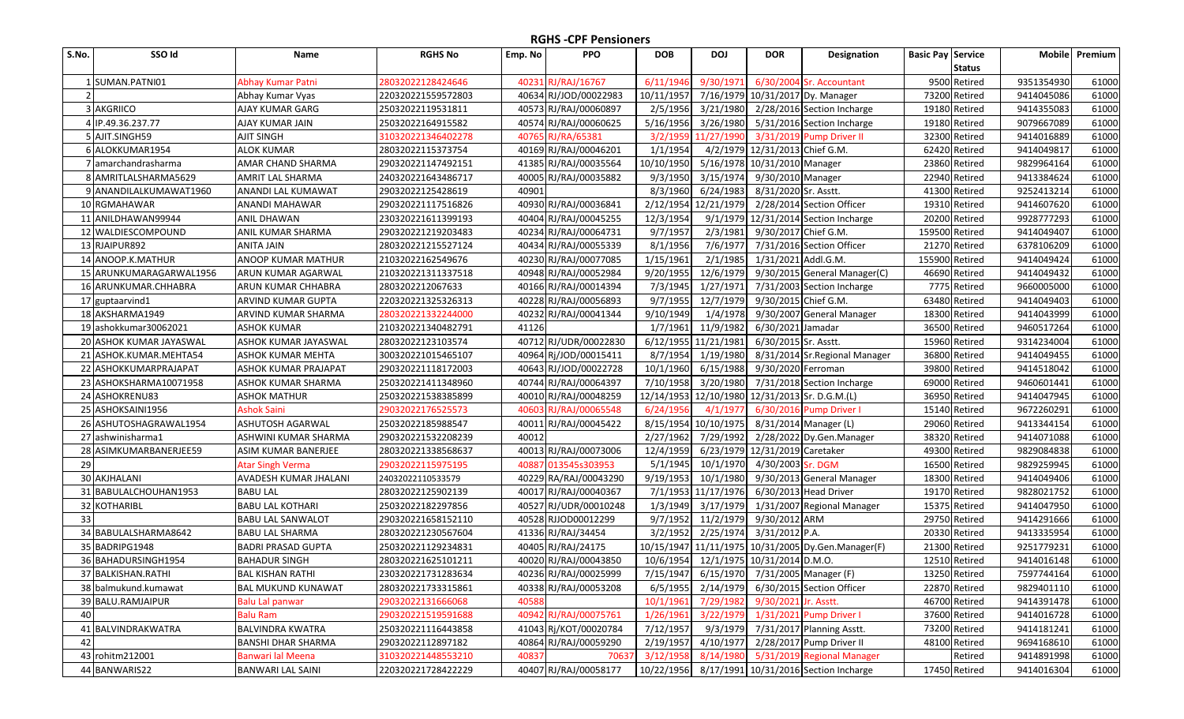| S.No. | SSO Id                  | Name                      | <b>RGHS No</b>     | Emp. No | <b>PPO</b>            | <b>DOB</b>                                     | <b>DOJ</b>           | <b>DOR</b>                                | Designation                                        | <b>Basic Pay Service</b> |               |            | Mobile Premium |
|-------|-------------------------|---------------------------|--------------------|---------|-----------------------|------------------------------------------------|----------------------|-------------------------------------------|----------------------------------------------------|--------------------------|---------------|------------|----------------|
|       |                         |                           |                    |         |                       |                                                |                      |                                           |                                                    |                          | <b>Status</b> |            |                |
|       | 1 SUMAN.PATNI01         | Abhay Kumar Patni         | 28032022128424646  | 40231   | RJ/RAJ/16767          | 6/11/1946                                      | 9/30/1971            |                                           | 6/30/2004 Sr. Accountant                           |                          | 9500 Retired  | 9351354930 | 61000          |
|       |                         | Abhay Kumar Vyas          | 220320221559572803 |         | 40634 RJ/JOD/00022983 | 10/11/1957                                     |                      |                                           | 7/16/1979 10/31/2017 Dy. Manager                   |                          | 73200 Retired | 9414045086 | 61000          |
|       | 3 AKGRIICO              | AJAY KUMAR GARG           | 25032022119531811  |         | 40573 RJ/RAJ/00060897 | 2/5/1956                                       | 3/21/1980            |                                           | 2/28/2016 Section Incharge                         |                          | 19180 Retired | 9414355083 | 61000          |
|       | 4 IP.49.36.237.77       | AJAY KUMAR JAIN           | 25032022164915582  |         | 40574 RJ/RAJ/00060625 | 5/16/1956                                      | 3/26/1980            |                                           | 5/31/2016 Section Incharge                         |                          | 19180 Retired | 9079667089 | 61000          |
|       | 5 AJIT.SINGH59          | AJIT SINGH                | 310320221346402278 |         | 40765 RJ/RA/65381     | 3/2/1959                                       | 11/27/1990           |                                           | 3/31/2019 Pump Driver II                           |                          | 32300 Retired | 9414016889 | 61000          |
|       | 6 ALOKKUMAR1954         | <b>ALOK KUMAR</b>         | 28032022115373754  |         | 40169 RJ/RAJ/00046201 | 1/1/1954                                       |                      | 4/2/1979 12/31/2013 Chief G.M.            |                                                    |                          | 62420 Retired | 9414049817 | 61000          |
|       | 7 amarchandrasharma     | AMAR CHAND SHARMA         | 290320221147492151 |         | 41385 RJ/RAJ/00035564 | 10/10/1950                                     |                      | 5/16/1978 10/31/2010 Manager              |                                                    |                          | 23860 Retired | 9829964164 | 61000          |
|       | 8 AMRITLALSHARMA5629    | AMRIT LAL SHARMA          | 240320221643486717 |         | 40005 RJ/RAJ/00035882 | 9/3/1950                                       | 3/15/1974            | 9/30/2010 Manager                         |                                                    |                          | 22940 Retired | 9413384624 | 61000          |
|       | 9 ANANDILALKUMAWAT1960  | ANANDI LAL KUMAWAT        | 29032022125428619  | 40901   |                       | 8/3/1960                                       | 6/24/1983            | 8/31/2020 Sr. Asstt.                      |                                                    |                          | 41300 Retired | 9252413214 | 61000          |
|       | 10 RGMAHAWAR            | ANANDI MAHAWAR            | 290320221117516826 |         | 40930 RJ/RAJ/00036841 | 2/12/1954                                      | 12/21/1979           |                                           | 2/28/2014 Section Officer                          |                          | 19310 Retired | 9414607620 | 61000          |
|       | 11 ANILDHAWAN99944      | <b>ANIL DHAWAN</b>        | 230320221611399193 |         | 40404 RJ/RAJ/00045255 | 12/3/1954                                      | 9/1/1979             |                                           | 12/31/2014 Section Incharge                        |                          | 20200 Retired | 9928777293 | 61000          |
|       | 12 WALDIESCOMPOUND      | ANIL KUMAR SHARMA         | 290320221219203483 |         | 40234 RJ/RAJ/00064731 | 9/7/1957                                       | 2/3/1981             | 9/30/2017 Chief G.M.                      |                                                    | 159500 Retired           |               | 9414049407 | 61000          |
|       | 13 RJAIPUR892           | ANITA JAIN                | 280320221215527124 |         | 40434 RJ/RAJ/00055339 | 8/1/1956                                       | 7/6/1977             |                                           | 7/31/2016 Section Officer                          |                          | 21270 Retired | 6378106209 | 61000          |
|       | 14 ANOOP.K.MATHUR       | ANOOP KUMAR MATHUR        | 21032022162549676  |         | 40230 RJ/RAJ/00077085 | 1/15/1961                                      | 2/1/1985             | 1/31/2021 Addl.G.M.                       |                                                    | 155900 Retired           |               | 9414049424 | 61000          |
|       | 15 ARUNKUMARAGARWAL1956 | ARUN KUMAR AGARWAL        | 210320221311337518 |         | 40948 RJ/RAJ/00052984 | 9/20/1955                                      | 12/6/1979            |                                           | 9/30/2015 General Manager(C)                       |                          | 46690 Retired | 9414049432 | 61000          |
|       | 16 ARUNKUMAR.CHHABRA    | ARUN KUMAR CHHABRA        | 2803202212067633   |         | 40166 RJ/RAJ/00014394 | 7/3/1945                                       | 1/27/1971            |                                           | 7/31/2003 Section Incharge                         |                          | 7775 Retired  | 9660005000 | 61000          |
|       | 17 guptaarvind1         | ARVIND KUMAR GUPTA        | 220320221325326313 |         | 40228 RJ/RAJ/00056893 | 9/7/1955                                       | 12/7/1979            | 9/30/2015 Chief G.M.                      |                                                    |                          | 63480 Retired | 9414049403 | 61000          |
|       | 18 AKSHARMA1949         | ARVIND KUMAR SHARMA       | 280320221332244000 |         | 40232 RJ/RAJ/00041344 | 9/10/1949                                      | 1/4/1978             |                                           | 9/30/2007 General Manager                          |                          | 18300 Retired | 9414043999 | 61000          |
|       | 19 ashokkumar30062021   | <b>ASHOK KUMAR</b>        | 210320221340482791 | 41126   |                       | 1/7/1961                                       | 11/9/1982            | 6/30/2021 Jamadar                         |                                                    |                          | 36500 Retired | 9460517264 | 61000          |
|       | 20 ASHOK KUMAR JAYASWAL | ASHOK KUMAR JAYASWAL      | 28032022123103574  |         | 40712 RJ/UDR/00022830 | 6/12/1955 11/21/1981                           |                      | 6/30/2015 Sr. Asstt.                      |                                                    |                          | 15960 Retired | 9314234004 | 61000          |
|       | 21 ASHOK.KUMAR.MEHTA54  | ASHOK KUMAR MEHTA         | 300320221015465107 |         | 40964 Rj/JOD/00015411 | 8/7/1954                                       | 1/19/1980            |                                           | 8/31/2014 Sr. Regional Manager                     |                          | 36800 Retired | 9414049455 | 61000          |
|       | 22 ASHOKKUMARPRAJAPAT   | ASHOK KUMAR PRAJAPAT      | 290320221118172003 |         | 40643 RJ/JOD/00022728 | 10/1/1960                                      | 6/15/1988            | 9/30/2020 Ferroman                        |                                                    |                          | 39800 Retired | 9414518042 | 61000          |
|       | 23 ASHOKSHARMA10071958  | ASHOK KUMAR SHARMA        | 250320221411348960 |         | 40744 RJ/RAJ/00064397 | 7/10/1958                                      | 3/20/1980            |                                           | 7/31/2018 Section Incharge                         |                          | 69000 Retired | 9460601441 | 61000          |
|       | 24 ASHOKRENU83          | <b>ASHOK MATHUR</b>       | 250320221538385899 |         | 40010 RJ/RAJ/00048259 | 12/14/1953 12/10/1980 12/31/2013 Sr. D.G.M.(L) |                      |                                           |                                                    |                          | 36950 Retired | 9414047945 | 61000          |
|       | 25 ASHOKSAINI1956       | Ashok Saini               | 29032022176525573  | 40603   | RJ/RAJ/00065548       | 6/24/1956                                      | 4/1/1977             |                                           | 6/30/2016 Pump Driver I                            |                          | 15140 Retired | 9672260291 | 61000          |
|       | 26 ASHUTOSHAGRAWAL1954  | ASHUTOSH AGARWAL          | 25032022185988547  |         | 40011 RJ/RAJ/00045422 |                                                | 8/15/1954 10/10/1975 |                                           | 8/31/2014 Manager (L)                              |                          | 29060 Retired | 9413344154 | 61000          |
|       | 27 ashwinisharma1       | ASHWINI KUMAR SHARMA      | 290320221532208239 | 40012   |                       | 2/27/1962                                      | 7/29/1992            |                                           | 2/28/2022 Dy.Gen.Manager                           |                          | 38320 Retired | 9414071088 | 61000          |
|       | 28 ASIMKUMARBANERJEE59  | ASIM KUMAR BANERJEE       | 280320221338568637 |         | 40013 RJ/RAJ/00073006 | 12/4/1959                                      |                      | 6/23/1979 12/31/2019 Caretaker            |                                                    |                          | 49300 Retired | 9829084838 | 61000          |
| 29    |                         | <b>Atar Singh Verma</b>   | 29032022115975195  | 40887   | 013545s303953         | 5/1/1945                                       | 10/1/1970            | 4/30/2003 Sr. DGM                         |                                                    |                          | 16500 Retired | 9829259945 | 61000          |
|       | 30 AKJHALANI            | AVADESH KUMAR JHALANI     | 24032022110533579  |         | 40229 RA/RAJ/00043290 | 9/19/1953                                      | 10/1/1980            |                                           | 9/30/2013 General Manager                          |                          | 18300 Retired | 9414049406 | 61000          |
|       | 31 BABULALCHOUHAN1953   | BABU LAL                  | 28032022125902139  |         | 40017 RJ/RAJ/00040367 |                                                | 7/1/1953 11/17/1976  |                                           | 6/30/2013 Head Driver                              |                          | 19170 Retired | 9828021752 | 61000          |
|       | 32 KOTHARIBL            | <b>BABU LAL KOTHARI</b>   | 25032022182297856  |         | 40527 RJ/UDR/00010248 | 1/3/1949                                       | 3/17/1979            |                                           | 1/31/2007 Regional Manager                         |                          | 15375 Retired | 9414047950 | 61000          |
| 33    |                         | <b>BABU LAL SANWALOT</b>  | 290320221658152110 |         | 40528 RJJOD00012299   | 9/7/1952                                       | 11/2/1979            | 9/30/2012 ARM                             |                                                    |                          | 29750 Retired | 9414291666 | 61000          |
|       | 34 BABULALSHARMA8642    | BABU LAL SHARMA           | 280320221230567604 |         | 41336 RJ/RAJ/34454    | 3/2/1952                                       | 2/25/1974            | 3/31/2012 P.A.                            |                                                    |                          | 20330 Retired | 9413335954 | 61000          |
|       | 35 BADRIPG1948          | BADRI PRASAD GUPTA        | 250320221129234831 |         | 40405 RJ/RAJ/24175    |                                                |                      |                                           | 10/15/1947 11/11/1975 10/31/2005 Dy.Gen.Manager(F) |                          | 21300 Retired | 9251779231 | 61000          |
|       | 36 BAHADURSINGH1954     | <b>BAHADUR SINGH</b>      | 280320221625101211 |         | 40020 RJ/RAJ/00043850 | 10/6/1954                                      |                      | 12/1/1975 10/31/2014 D.M.O.               |                                                    |                          | 12510 Retired | 9414016148 | 61000          |
|       | 37 BALKISHAN.RATHI      | <b>BAL KISHAN RATHI</b>   | 230320221731283634 |         | 40236 RJ/RAJ/00025999 |                                                |                      | 7/15/1947 6/15/1970 7/31/2005 Manager (F) |                                                    |                          | 13250 Retired | 7597744164 | 61000          |
|       | 38 balmukund.kumawat    | <b>BAL MUKUND KUNAWAT</b> | 280320221733315861 |         | 40338 RJ/RAJ/00053208 |                                                |                      |                                           | 6/5/1955 2/14/1979 6/30/2015 Section Officer       |                          | 22870 Retired | 9829401110 | 61000          |
|       | 39 BALU.RAMJAIPUR       | <b>Balu Lal panwar</b>    | 29032022131666068  | 40588   |                       | 10/1/1961                                      | 7/29/1982            | 9/30/2021 Jr. Asstt.                      |                                                    |                          | 46700 Retired | 9414391478 | 61000          |
| 40    |                         | <b>Balu Ram</b>           | 290320221519591688 |         | 40942 RJ/RAJ/00075761 | 1/26/1961                                      |                      |                                           | 3/22/1979  1/31/2021  Pump Driver I                |                          | 37600 Retired | 9414016728 | 61000          |
|       | 41 BALVINDRAKWATRA      | BALVINDRA KWATRA          | 250320221116443858 |         | 41043 Rj/KOT/00020784 | 7/12/1957                                      |                      |                                           | 9/3/1979 7/31/2017 Planning Asstt.                 |                          | 73200 Retired | 9414181241 | 61000          |
| 42    |                         | <b>BANSHI DHAR SHARMA</b> | 29032022112897182  |         | 40864 RJ/RAJ/00059290 | 2/19/1957                                      |                      |                                           | 4/10/1977 2/28/2017 Pump Driver II                 |                          | 48100 Retired | 9694168610 | 61000          |
|       | 43 rohitm212001         | Banwari lal Meena         | 310320221448553210 | 40837   | 70637                 | 3/12/1958                                      | 8/14/1980            |                                           | 5/31/2019 Regional Manager                         |                          | Retired       | 9414891998 | 61000          |
|       | 44 BANWARIS22           | <b>BANWARI LAL SAINI</b>  | 220320221728422229 |         | 40407 RJ/RAJ/00058177 |                                                |                      |                                           | 10/22/1956 8/17/1991 10/31/2016 Section Incharge   |                          | 17450 Retired | 9414016304 | 61000          |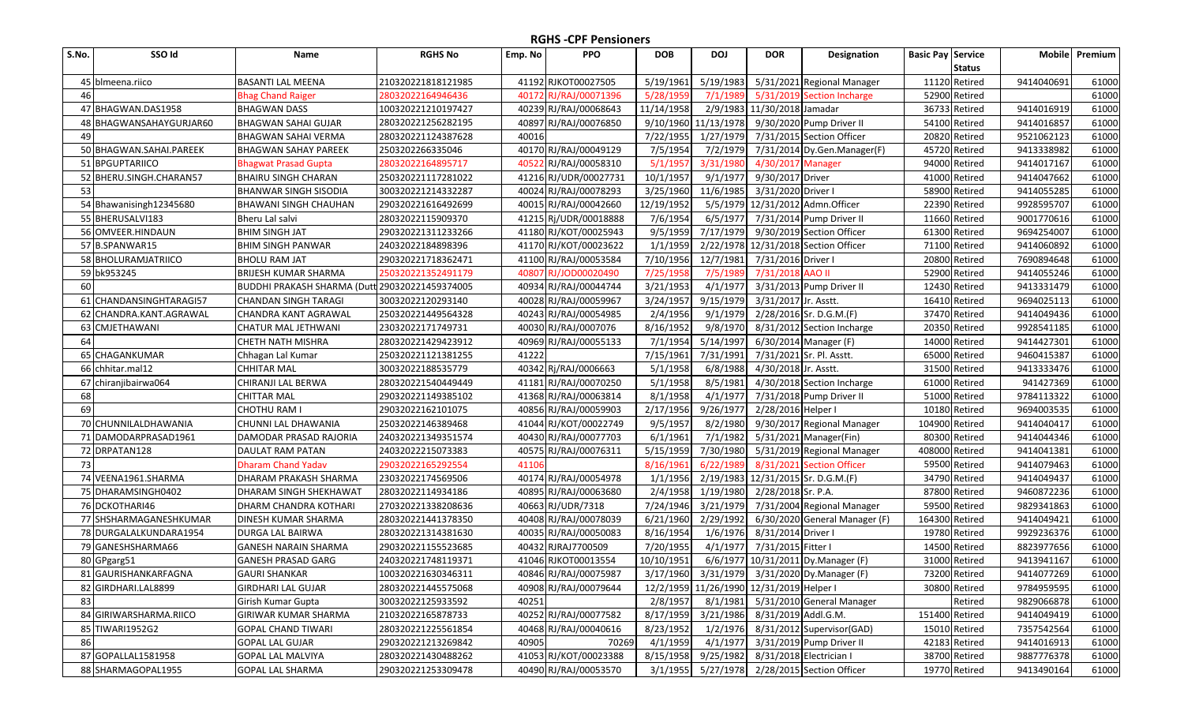| S.No. | SSO Id                  | Name                                           | <b>RGHS No</b>     | Emp. No | <b>PPO</b>            | <b>DOB</b>           | <b>DOJ</b>          | <b>DOR</b>                               | Designation                                  | <b>Basic Pay Service</b> |               | <b>Mobile</b> | Premium |
|-------|-------------------------|------------------------------------------------|--------------------|---------|-----------------------|----------------------|---------------------|------------------------------------------|----------------------------------------------|--------------------------|---------------|---------------|---------|
|       |                         |                                                |                    |         |                       |                      |                     |                                          |                                              |                          | <b>Status</b> |               |         |
|       | 45 blmeena.riico        | BASANTI LAL MEENA                              | 210320221818121985 |         | 41192 RJKOT00027505   | 5/19/1961            | 5/19/1983           |                                          | 5/31/2021 Regional Manager                   |                          | 11120 Retired | 9414040691    | 61000   |
| 46    |                         | <b>Bhag Chand Raiger</b>                       | 28032022164946436  |         | 40172 RJ/RAJ/00071396 | 5/28/1959            | 7/1/1989            |                                          | 5/31/2019 Section Incharge                   |                          | 52900 Retired |               | 61000   |
|       | 47 BHAGWAN.DAS1958      | <b>BHAGWAN DASS</b>                            | 100320221210197427 |         | 40239 RJ/RAJ/00068643 | 11/14/1958           |                     | 2/9/1983 11/30/2018 Jamadar              |                                              |                          | 36733 Retired | 9414016919    | 61000   |
|       | 48 BHAGWANSAHAYGURJAR60 | <b>BHAGWAN SAHAI GUJAR</b>                     | 280320221256282195 |         | 40897 RJ/RAJ/00076850 | 9/10/1960 11/13/1978 |                     |                                          | 9/30/2020 Pump Driver II                     |                          | 54100 Retired | 9414016857    | 61000   |
| 49    |                         | BHAGWAN SAHAI VERMA                            | 280320221124387628 | 40016   |                       | 7/22/1955            | 1/27/1979           |                                          | 7/31/2015 Section Officer                    |                          | 20820 Retired | 9521062123    | 61000   |
|       | 50 BHAGWAN.SAHAI.PAREEK | <b>BHAGWAN SAHAY PAREEK</b>                    | 2503202266335046   |         | 40170 RJ/RAJ/00049129 | 7/5/1954             | 7/2/1979            |                                          | 7/31/2014 Dy.Gen.Manager(F)                  |                          | 45720 Retired | 9413338982    | 61000   |
|       | 51 BPGUPTARIICO         | <b>Bhagwat Prasad Gupta</b>                    | 28032022164895717  |         | 40522 RJ/RAJ/00058310 | 5/1/1957             | 3/31/1980           | 4/30/2017 Manager                        |                                              |                          | 94000 Retired | 9414017167    | 61000   |
|       | 52 BHERU.SINGH.CHARAN57 | BHAIRU SINGH CHARAN                            | 250320221117281022 |         | 41216 RJ/UDR/00027731 | 10/1/1957            | 9/1/1977            | 9/30/2017 Driver                         |                                              |                          | 41000 Retired | 9414047662    | 61000   |
| 53    |                         | <b>BHANWAR SINGH SISODIA</b>                   | 300320221214332287 |         | 40024 RJ/RAJ/00078293 | 3/25/1960            | 11/6/1985           | 3/31/2020 Driver I                       |                                              |                          | 58900 Retired | 9414055285    | 61000   |
|       | 54 Bhawanisingh12345680 | BHAWANI SINGH CHAUHAN                          | 290320221616492699 |         | 40015 RJ/RAJ/00042660 | 12/19/1952           | 5/5/1979            |                                          | 12/31/2012 Admn.Officer                      |                          | 22390 Retired | 9928595707    | 61000   |
|       | 55 BHERUSALVI183        | Bheru Lal salvi                                | 28032022115909370  |         | 41215 Rj/UDR/00018888 | 7/6/1954             | 6/5/1977            |                                          | 7/31/2014 Pump Driver II                     |                          | 11660 Retired | 9001770616    | 61000   |
|       | 56 OMVEER.HINDAUN       | <b>BHIM SINGH JAT</b>                          | 290320221311233266 |         | 41180 RJ/KOT/00025943 | 9/5/1959             | 7/17/1979           |                                          | 9/30/2019 Section Officer                    |                          | 61300 Retired | 9694254007    | 61000   |
|       | 57 B.SPANWAR15          | <b>BHIM SINGH PANWAR</b>                       | 24032022184898396  |         | 41170 RJ/KOT/00023622 | 1/1/1959             |                     |                                          | 2/22/1978 12/31/2018 Section Officer         |                          | 71100 Retired | 9414060892    | 61000   |
|       | 58 BHOLURAMJATRIICO     | BHOLU RAM JAT                                  | 290320221718362471 | 41100   | RJ/RAJ/00053584       | 7/10/1956            | 12/7/1981           | 7/31/2016 Driver I                       |                                              |                          | 20800 Retired | 7690894648    | 61000   |
|       | 59 bk953245             | BRIJESH KUMAR SHARMA                           | 250320221352491179 | 40807   | RJ/JOD00020490        | 7/25/1958            | 7/5/1989            | 7/31/2018 AAO II                         |                                              |                          | 52900 Retired | 9414055246    | 61000   |
| 60    |                         | BUDDHI PRAKASH SHARMA (Dutt 290320221459374005 |                    |         | 40934 RJ/RAJ/00044744 | 3/21/1953            | 4/1/1977            |                                          | 3/31/2013 Pump Driver II                     |                          | 12430 Retired | 9413331479    | 61000   |
|       | 61 CHANDANSINGHTARAGI57 | CHANDAN SINGH TARAGI                           | 30032022120293140  |         | 40028 RJ/RAJ/00059967 | 3/24/1957            | 9/15/1979           | 3/31/2017 Jr. Asstt.                     |                                              |                          | 16410 Retired | 9694025113    | 61000   |
|       | 62 CHANDRA.KANT.AGRAWAL | CHANDRA KANT AGRAWAL                           | 250320221449564328 |         | 40243 RJ/RAJ/00054985 | 2/4/1956             | 9/1/1979            |                                          | 2/28/2016 Sr. D.G.M.(F)                      |                          | 37470 Retired | 9414049436    | 61000   |
|       | 63 CMJETHAWANI          | CHATUR MAL JETHWANI                            | 23032022171749731  |         | 40030 RJ/RAJ/0007076  | 8/16/1952            | 9/8/1970            |                                          | 8/31/2012 Section Incharge                   |                          | 20350 Retired | 9928541185    | 61000   |
| 64    |                         | CHETH NATH MISHRA                              | 280320221429423912 |         | 40969 RJ/RAJ/00055133 | 7/1/1954             | 5/14/1997           |                                          | 6/30/2014 Manager (F)                        |                          | 14000 Retired | 9414427301    | 61000   |
|       | 65 CHAGANKUMAR          | Chhagan Lal Kumar                              | 250320221121381255 | 41222   |                       | 7/15/1961            | 7/31/1991           |                                          | 7/31/2021 Sr. Pl. Asstt.                     |                          | 65000 Retired | 9460415387    | 61000   |
|       | 66 chhitar.mal12        | CHHITAR MAL                                    | 30032022188535779  |         | 40342 Rj/RAJ/0006663  | 5/1/1958             | 6/8/1988            | 4/30/2018 Jr. Asstt.                     |                                              |                          | 31500 Retired | 9413333476    | 61000   |
|       | 67 chiranjibairwa064    | CHIRANJI LAL BERWA                             | 280320221540449449 |         | 41181 RJ/RAJ/00070250 | 5/1/1958             | 8/5/1981            |                                          | 4/30/2018 Section Incharge                   |                          | 61000 Retired | 941427369     | 61000   |
| 68    |                         | CHITTAR MAL                                    | 290320221149385102 |         | 41368 RJ/RAJ/00063814 | 8/1/1958             | 4/1/1977            |                                          | 7/31/2018 Pump Driver II                     |                          | 51000 Retired | 9784113322    | 61000   |
| 69    |                         | CHOTHU RAM I                                   | 29032022162101075  |         | 40856 RJ/RAJ/00059903 | 2/17/1956            | 9/26/1977           | 2/28/2016 Helper I                       |                                              |                          | 10180 Retired | 9694003535    | 61000   |
|       | 70 CHUNNILALDHAWANIA    | CHUNNI LAL DHAWANIA                            | 25032022146389468  |         | 41044 RJ/KOT/00022749 | 9/5/1957             | 8/2/1980            |                                          | 9/30/2017 Regional Manager                   | 104900 Retired           |               | 9414040417    | 61000   |
|       | 71 DAMODARPRASAD1961    | DAMODAR PRASAD RAJORIA                         | 240320221349351574 |         | 40430 RJ/RAJ/00077703 | 6/1/1961             | 7/1/1982            |                                          | 5/31/2021 Manager(Fin)                       |                          | 80300 Retired | 9414044346    | 61000   |
|       | 72 DRPATAN128           | DAULAT RAM PATAN                               | 24032022215073383  |         | 40575 RJ/RAJ/00076311 | 5/15/1959            | 7/30/1980           |                                          | 5/31/2019 Regional Manager                   | 408000 Retired           |               | 9414041381    | 61000   |
| 73    |                         | <b>Dharam Chand Yadav</b>                      | 29032022165292554  | 4110    |                       | 8/16/1961            | 6/22/1989           |                                          | 8/31/2021 Section Officer                    |                          | 59500 Retired | 9414079463    | 61000   |
|       | 74 VEENA1961.SHARMA     | DHARAM PRAKASH SHARMA                          | 23032022174569506  |         | 40174 RJ/RAJ/00054978 | 1/1/1956             |                     |                                          | 2/19/1983 12/31/2015 Sr. D.G.M.(F)           |                          | 34790 Retired | 9414049437    | 61000   |
|       | 75 DHARAMSINGH0402      | DHARAM SINGH SHEKHAWAT                         | 28032022114934186  |         | 40895 RJ/RAJ/00063680 | 2/4/1958             | 1/19/1980           | 2/28/2018 Sr. P.A.                       |                                              |                          | 87800 Retired | 9460872236    | 61000   |
|       | 76 DCKOTHARI46          | DHARM CHANDRA KOTHARI                          | 270320221338208636 |         | 40663 RJ/UDR/7318     | 7/24/1946            | 3/21/1979           |                                          | 7/31/2004 Regional Manager                   |                          | 59500 Retired | 9829341863    | 61000   |
|       | 77 SHSHARMAGANESHKUMAR  | DINESH KUMAR SHARMA                            | 280320221441378350 |         | 40408 RJ/RAJ/00078039 | 6/21/1960            | 2/29/1992           |                                          | 6/30/2020 General Manager (F)                | 164300 Retired           |               | 9414049421    | 61000   |
|       | 78 DURGALALKUNDARA1954  | DURGA LAL BAIRWA                               | 280320221314381630 |         | 40035 RJ/RAJ/00050083 | 8/16/1954            | 1/6/1976            | 8/31/2014 Driver I                       |                                              |                          | 19780 Retired | 9929236376    | 61000   |
|       | 79 GANESHSHARMA66       | GANESH NARAIN SHARMA                           | 290320221155523685 |         | 40432 RJRAJ7700509    | 7/20/1955            | 4/1/1977            | 7/31/2015 Fitter I                       |                                              |                          | 14500 Retired | 8823977656    | 61000   |
|       | 80 GPgarg51             | <b>GANESH PRASAD GARG</b>                      | 240320221748119371 |         | 41046 RJKOT00013554   | 10/10/1951           |                     |                                          | 6/6/1977 10/31/2011 Dy.Manager (F)           |                          | 31000 Retired | 9413941167    | 61000   |
|       | 81 GAURISHANKARFAGNA    | <b>GAURI SHANKAR</b>                           | 100320221630346311 |         | 40846 RJ/RAJ/00075987 |                      |                     |                                          | 3/17/1960 3/31/1979 3/31/2020 Dy.Manager (F) |                          | 73200 Retired | 9414077269    | 61000   |
|       | 82 GIRDHARI.LAL8899     | <b>GIRDHARI LAL GUJAR</b>                      | 280320221445575068 |         | 40908 RJ/RAJ/00079644 |                      |                     | 12/2/1959 11/26/1990 12/31/2019 Helper I |                                              |                          | 30800 Retired | 9784959595    | 61000   |
| 83    |                         | Girish Kumar Gupta                             | 30032022125933592  | 40251   |                       | 2/8/1957             |                     |                                          | 8/1/1981 5/31/2010 General Manager           |                          | Retired       | 9829066878    | 61000   |
|       | 84 GIRIWARSHARMA.RIICO  | GIRIWAR KUMAR SHARMA                           | 21032022165878733  |         | 40252 RJ/RAJ/00077582 | 8/17/1959 3/21/1986  |                     | 8/31/2019 Addl.G.M.                      |                                              | 151400 Retired           |               | 9414049419    | 61000   |
|       | 85 TIWARI1952G2         | <b>GOPAL CHAND TIWARI</b>                      | 280320221225561854 |         | 40468 RJ/RAJ/00040616 | 8/23/1952            | 1/2/1976            |                                          | 8/31/2012 Supervisor (GAD)                   |                          | 15010 Retired | 7357542564    | 61000   |
| 86    |                         | <b>GOPAL LAL GUJAR</b>                         | 290320221213269842 | 40905   | 70269                 | 4/1/1959             |                     |                                          | 4/1/1977 3/31/2019 Pump Driver II            |                          | 42183 Retired | 9414016913    | 61000   |
|       | 87 GOPALLAL1581958      | GOPAL LAL MALVIYA                              | 280320221430488262 |         | 41053 RJ/KOT/00023388 |                      | 8/15/1958 9/25/1982 | 8/31/2018 Electrician I                  |                                              |                          | 38700 Retired | 9887776378    | 61000   |
|       | 88 SHARMAGOPAL1955      | GOPAL LAL SHARMA                               | 290320221253309478 |         | 40490 RJ/RAJ/00053570 |                      |                     |                                          | 3/1/1955 5/27/1978 2/28/2015 Section Officer |                          | 19770 Retired | 9413490164    | 61000   |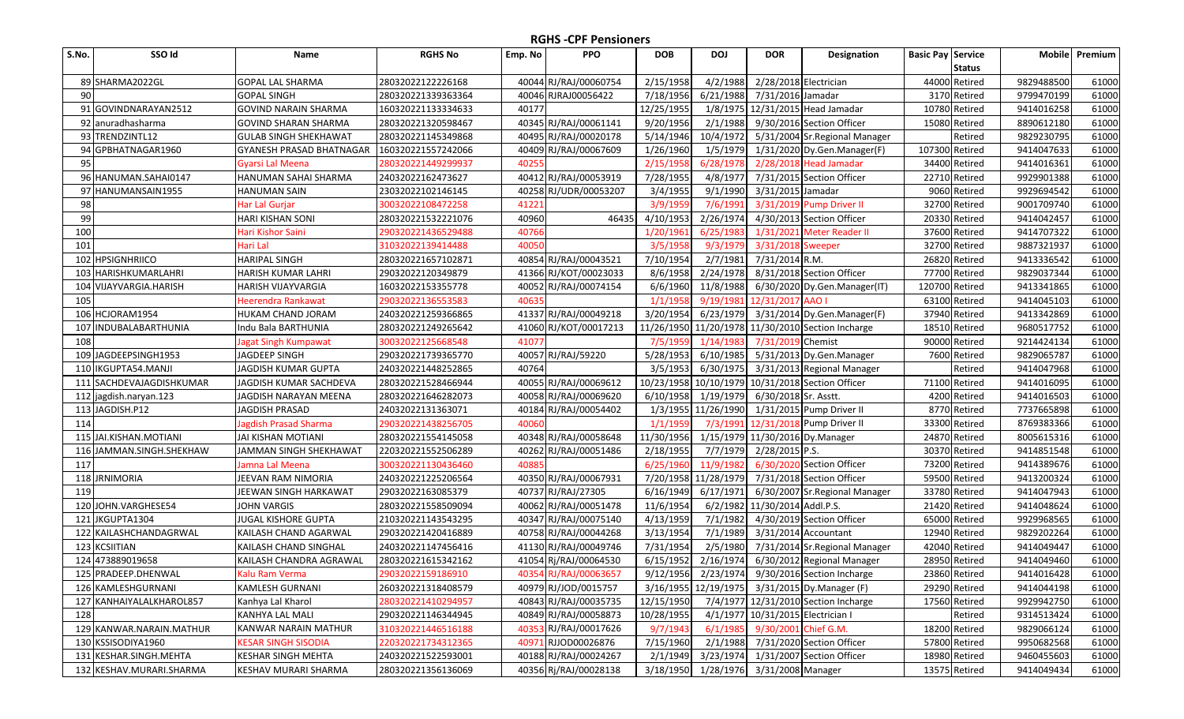| S.No. | SSO Id                   | Name                         | <b>RGHS No</b>     | Emp. No | <b>PPO</b>            | <b>DOB</b> | <b>DOJ</b>                            | <b>DOR</b>                        | <b>Designation</b>                               | <b>Basic Pay Service</b> | <b>Mobile</b> | Premium |
|-------|--------------------------|------------------------------|--------------------|---------|-----------------------|------------|---------------------------------------|-----------------------------------|--------------------------------------------------|--------------------------|---------------|---------|
|       |                          |                              |                    |         |                       |            |                                       |                                   |                                                  | <b>Status</b>            |               |         |
|       | 89 SHARMA2022GL          | <b>GOPAL LAL SHARMA</b>      | 28032022122226168  |         | 40044 RJ/RAJ/00060754 | 2/15/1958  | 4/2/1988                              | 2/28/2018 Electrician             |                                                  | 44000 Retired            | 9829488500    | 61000   |
| 90    |                          | <b>GOPAL SINGH</b>           | 280320221339363364 |         | 40046 RJRAJ00056422   | 7/18/1956  | 6/21/1988                             | 7/31/2016 Jamadar                 |                                                  | 3170 Retired             | 9799470199    | 61000   |
| 91    | GOVINDNARAYAN2512        | <b>GOVIND NARAIN SHARMA</b>  | 160320221133334633 | 40177   |                       | 12/25/1955 |                                       |                                   | 1/8/1975 12/31/2015 Head Jamadar                 | 10780 Retired            | 9414016258    | 61000   |
|       | 92 anuradhasharma        | <b>GOVIND SHARAN SHARMA</b>  | 280320221320598467 |         | 40345 RJ/RAJ/00061141 | 9/20/1956  | 2/1/1988                              |                                   | 9/30/2016 Section Officer                        | 15080 Retired            | 8890612180    | 61000   |
|       | 93 TRENDZINTL12          | <b>GULAB SINGH SHEKHAWAT</b> | 280320221145349868 |         | 40495 RJ/RAJ/00020178 | 5/14/1946  | 10/4/1972                             |                                   | 5/31/2004 Sr. Regional Manager                   | Retired                  | 9829230795    | 61000   |
|       | 94 GPBHATNAGAR1960       | GYANESH PRASAD BHATNAGAR     | 160320221557242066 |         | 40409 RJ/RAJ/00067609 | 1/26/1960  | 1/5/1979                              |                                   | 1/31/2020 Dy.Gen.Manager(F)                      | 107300 Retired           | 9414047633    | 61000   |
| 95    |                          | Gyarsi Lal Meena             | 280320221449299937 | 40255   |                       | 2/15/1958  | 6/28/1978                             |                                   | 2/28/2018 Head Jamadar                           | 34400 Retired            | 9414016361    | 61000   |
|       | 96 HANUMAN.SAHAI0147     | HANUMAN SAHAI SHARMA         | 24032022162473627  |         | 40412 RJ/RAJ/00053919 | 7/28/1955  | 4/8/1977                              |                                   | 7/31/2015 Section Officer                        | 22710 Retired            | 9929901388    | 61000   |
| 97    | HANUMANSAIN1955          | <b>HANUMAN SAIN</b>          | 23032022102146145  |         | 40258 RJ/UDR/00053207 | 3/4/1955   | 9/1/1990                              | 3/31/2015 Jamadar                 |                                                  | 9060 Retired             | 9929694542    | 61000   |
| 98    |                          | Har Lal Gurjar               | 30032022108472258  | 41221   |                       | 3/9/1959   | 7/6/1991                              |                                   | 3/31/2019 Pump Driver II                         | 32700 Retired            | 9001709740    | 61000   |
| 99    |                          | HARI KISHAN SONI             | 280320221532221076 | 40960   | 46435                 | 4/10/1953  | 2/26/1974                             |                                   | 4/30/2013 Section Officer                        | 20330 Retired            | 9414042457    | 61000   |
| 100   |                          | Hari Kishor Saini            | 290320221436529488 | 40766   |                       | 1/20/1961  | 6/25/1983                             | 1/31/2021                         | <b>Meter Reader II</b>                           | 37600 Retired            | 9414707322    | 61000   |
| 101   |                          | Hari Lal                     | 31032022139414488  | 40050   |                       | 3/5/1958   | 9/3/1979                              | 3/31/2018 Sweeper                 |                                                  | 32700 Retired            | 9887321937    | 61000   |
| 102   | <b>HPSIGNHRIICO</b>      | <b>HARIPAL SINGH</b>         | 280320221657102871 |         | 40854 RJ/RAJ/00043521 | 7/10/1954  | 2/7/1981                              | 7/31/2014 R.M.                    |                                                  | 26820 Retired            | 9413336542    | 61000   |
| 103   | HARISHKUMARLAHRI         | HARISH KUMAR LAHRI           | 29032022120349879  |         | 41366 RJ/KOT/00023033 | 8/6/1958   | 2/24/1978                             |                                   | 8/31/2018 Section Officer                        | 77700 Retired            | 9829037344    | 61000   |
| 104   | VIJAYVARGIA.HARISH       | HARISH VIJAYVARGIA           | 16032022153355778  | 40052   | RJ/RAJ/00074154       | 6/6/1960   | 11/8/1988                             |                                   | 6/30/2020 Dy.Gen.Manager(IT)                     | 120700 Retired           | 9413341865    | 61000   |
| 105   |                          | Heerendra Rankawat           | 29032022136553583  | 40635   |                       | 1/1/1958   | 9/19/1981                             | 12/31/2017 AAO I                  |                                                  | 63100 Retired            | 9414045103    | 61000   |
|       | 106 HCJORAM1954          | HUKAM CHAND JORAM            | 240320221259366865 |         | 41337 RJ/RAJ/00049218 | 3/20/1954  | 6/23/1979                             |                                   | 3/31/2014 Dy.Gen.Manager(F)                      | 37940 Retired            | 9413342869    | 61000   |
| 107   | <b>INDUBALABARTHUNIA</b> | Indu Bala BARTHUNIA          | 280320221249265642 |         | 41060 RJ/KOT/00017213 | 11/26/1950 |                                       |                                   | 11/20/1978 11/30/2010 Section Incharge           | 18510 Retired            | 9680517752    | 61000   |
| 108   |                          | lagat Singh Kumpawat         | 30032022125668548  | 41077   |                       | 7/5/1959   | 1/14/1983                             | 7/31/2019 Chemist                 |                                                  | 90000 Retired            | 9214424134    | 61000   |
|       | 109 JAGDEEPSINGH1953     | <b>JAGDEEP SINGH</b>         | 290320221739365770 |         | 40057 RJ/RAJ/59220    | 5/28/1953  | 6/10/1985                             |                                   | 5/31/2013 Dy.Gen.Manager                         | 7600 Retired             | 9829065787    | 61000   |
| 110   | IKGUPTA54.MANJI          | JAGDISH KUMAR GUPTA          | 240320221448252865 | 40764   |                       | 3/5/1953   | 6/30/1975                             |                                   | 3/31/2013 Regional Manager                       | Retired                  | 9414047968    | 61000   |
| 111   | SACHDEVAJAGDISHKUMAR     | JAGDISH KUMAR SACHDEVA       | 280320221528466944 |         | 40055 RJ/RAJ/00069612 |            |                                       |                                   | 10/23/1958 10/10/1979 10/31/2018 Section Officer | 71100 Retired            | 9414016095    | 61000   |
| 112   | jagdish.naryan.123       | JAGDISH NARAYAN MEENA        | 280320221646282073 |         | 40058 RJ/RAJ/00069620 | 6/10/1958  | 1/19/1979                             | 6/30/2018 Sr. Asstt.              |                                                  | 4200 Retired             | 9414016503    | 61000   |
|       | 113 JAGDISH.P12          | <b>JAGDISH PRASAD</b>        | 24032022131363071  |         | 40184 RJ/RAJ/00054402 |            | 1/3/1955 11/26/1990                   |                                   | 1/31/2015 Pump Driver II                         | 8770 Retired             | 7737665898    | 61000   |
| 114   |                          | <b>Jagdish Prasad Sharma</b> | 290320221438256705 | 40060   |                       | 1/1/1959   | 7/3/1991                              |                                   | 12/31/2018 Pump Driver II                        | 33300 Retired            | 8769383366    | 61000   |
| 115   | JAI.KISHAN.MOTIANI       | <b>JAI KISHAN MOTIANI</b>    | 280320221554145058 |         | 40348 RJ/RAJ/00058648 | 11/30/1956 |                                       |                                   | 1/15/1979 11/30/2016 Dy.Manager                  | 24870 Retired            | 8005615316    | 61000   |
| 116   | JAMMAN.SINGH.SHEKHAW     | JAMMAN SINGH SHEKHAWAT       | 220320221552506289 | 40262   | RJ/RAJ/00051486       | 2/18/1955  | 7/7/1979                              | 2/28/2015 P.S.                    |                                                  | 30370 Retired            | 9414851548    | 61000   |
| 117   |                          | Jamna Lal Meena              | 300320221130436460 | 40885   |                       | 6/25/1960  | 11/9/1982                             |                                   | 6/30/2020 Section Officer                        | 73200 Retired            | 9414389676    | 61000   |
|       | 118 JRNIMORIA            | JEEVAN RAM NIMORIA           | 240320221225206564 |         | 40350 RJ/RAJ/00067931 |            | 7/20/1958 11/28/1979                  |                                   | 7/31/2018 Section Officer                        | 59500 Retired            | 9413200324    | 61000   |
| 119   |                          | IEEWAN SINGH HARKAWAT        | 29032022163085379  | 40737   | RJ/RAJ/27305          | 6/16/1949  | 6/17/1971                             |                                   | 6/30/2007 Sr. Regional Manager                   | 33780 Retired            | 9414047943    | 61000   |
|       | 120 JOHN.VARGHESE54      | IOHN VARGIS                  | 280320221558509094 | 40062   | RJ/RAJ/00051478       | 11/6/1954  |                                       | 6/2/1982 11/30/2014 Addl.P.S.     |                                                  | 21420 Retired            | 9414048624    | 61000   |
| 121   | JKGUPTA1304              | JUGAL KISHORE GUPTA          | 210320221143543295 |         | 40347 RJ/RAJ/00075140 | 4/13/1959  | 7/1/1982                              |                                   | 4/30/2019 Section Officer                        | 65000 Retired            | 9929968565    | 61000   |
|       | 122 KAILASHCHANDAGRWAL   | KAILASH CHAND AGARWAL        | 290320221420416889 |         | 40758 RJ/RAJ/00044268 | 3/13/1954  | 7/1/1989                              |                                   | 3/31/2014 Accountant                             | 12940 Retired            | 9829202264    | 61000   |
|       | 123 KCSIITIAN            | KAILASH CHAND SINGHAL        | 240320221147456416 |         | 41130 RJ/RAJ/00049746 | 7/31/1954  | 2/5/1980                              |                                   | 7/31/2014 Sr. Regional Manager                   | 42040 Retired            | 9414049447    | 61000   |
|       | 124 473889019658         | KAILASH CHANDRA AGRAWAL      | 280320221615342162 |         | 41054 Rj/RAJ/00064530 | 6/15/1952  | 2/16/1974                             |                                   | 6/30/2012 Regional Manager                       | 28950 Retired            | 9414049460    | 61000   |
|       | 125 PRADEEP.DHENWAL      | Kalu Ram Verma               | 29032022159186910  |         | 40354 RJ/RAJ/00063657 |            |                                       |                                   | 9/12/1956 2/23/1974 9/30/2016 Section Incharge   | 23860 Retired            | 9414016428    | 61000   |
|       | 126 KAMLESHGURNANI       | <b>KAMLESH GURNANI</b>       | 260320221318408579 |         | 40979 RJ/JOD/0015757  |            |                                       |                                   | 3/16/1955 12/19/1975 3/31/2015 Dy.Manager (F)    | 29290 Retired            | 9414044198    | 61000   |
|       | 127 KANHAIYALALKHAROL857 | Kanhya Lal Kharol            | 280320221410294957 |         | 40843 RJ/RAJ/00035735 | 12/15/1950 |                                       |                                   | 7/4/1977 12/31/2010 Section Incharge             | 17560 Retired            | 9929942750    | 61000   |
| 128   |                          | KANHYA LAL MALI              | 290320221146344945 |         | 40849 RJ/RAJ/00058873 | 10/28/1955 |                                       | 4/1/1977 10/31/2015 Electrician I |                                                  | Retired                  | 9314513424    | 61000   |
|       | 129 KANWAR.NARAIN.MATHUR | KANWAR NARAIN MATHUR         | 310320221446516188 |         | 40353 RJ/RAJ/00017626 | 9/7/1943   | 6/1/1985                              | 9/30/2001 Chief G.M.              |                                                  | 18200 Retired            | 9829066124    | 61000   |
|       | 130 KSSISODIYA1960       | <b>KESAR SINGH SISODIA</b>   | 220320221734312365 |         | 40971 RJJOD00026876   | 7/15/1960  |                                       |                                   | 2/1/1988 7/31/2020 Section Officer               | 57800 Retired            | 9950682568    | 61000   |
|       | 131 KESHAR.SINGH.MEHTA   | KESHAR SINGH MEHTA           | 240320221522593001 |         | 40188 RJ/RAJ/00024267 | 2/1/1949   |                                       |                                   | 3/23/1974 1/31/2007 Section Officer              | 18980 Retired            | 9460455603    | 61000   |
|       | 132 KESHAV.MURARI.SHARMA | KESHAV MURARI SHARMA         | 280320221356136069 |         | 40356 Rj/RAJ/00028138 |            | 3/18/1950 1/28/1976 3/31/2008 Manager |                                   |                                                  | 13575 Retired            | 9414049434    | 61000   |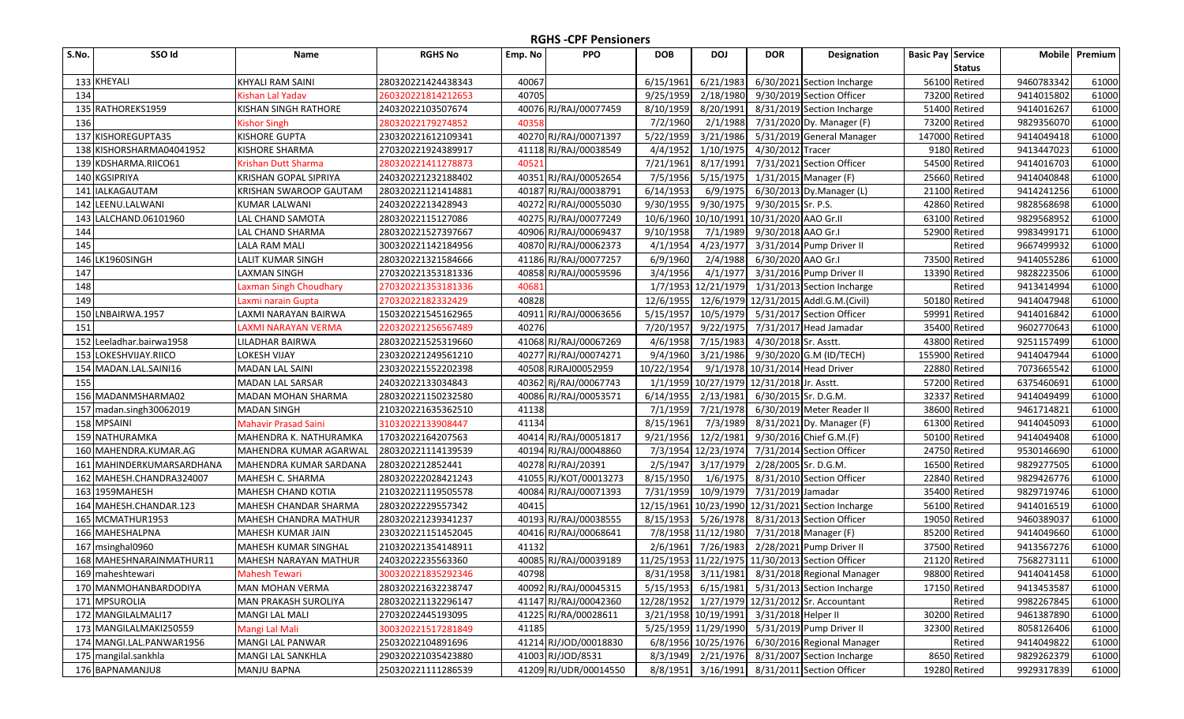| S.No. | SSO Id                    | Name                         | <b>RGHS No</b>     | Emp. No | <b>PPO</b>            | <b>DOB</b> | <b>DOJ</b>          | <b>DOR</b>                                | <b>Designation</b>                               | <b>Basic Pay Service</b> |               | <b>Mobile</b> | Premium |
|-------|---------------------------|------------------------------|--------------------|---------|-----------------------|------------|---------------------|-------------------------------------------|--------------------------------------------------|--------------------------|---------------|---------------|---------|
|       |                           |                              |                    |         |                       |            |                     |                                           |                                                  |                          | <b>Status</b> |               |         |
|       | 133 KHEYALI               | <b>KHYALI RAM SAINI</b>      | 280320221424438343 | 40067   |                       | 6/15/1961  | 6/21/1983           |                                           | 6/30/2021 Section Incharge                       |                          | 56100 Retired | 9460783342    | 61000   |
| 134   |                           | Kishan Lal Yadav             | 260320221814212653 | 40705   |                       | 9/25/1959  | 2/18/1980           |                                           | 9/30/2019 Section Officer                        |                          | 73200 Retired | 9414015802    | 61000   |
|       | 135 RATHOREKS1959         | KISHAN SINGH RATHORE         | 24032022103507674  |         | 40076 RJ/RAJ/00077459 | 8/10/1959  | 8/20/1991           |                                           | 8/31/2019 Section Incharge                       |                          | 51400 Retired | 9414016267    | 61000   |
| 136   |                           | <b>Kishor Singh</b>          | 28032022179274852  | 40358   |                       | 7/2/1960   | 2/1/1988            |                                           | 7/31/2020 Dy. Manager (F)                        |                          | 73200 Retired | 9829356070    | 61000   |
|       | 137 KISHOREGUPTA35        | <b>KISHORE GUPTA</b>         | 230320221612109341 |         | 40270 RJ/RAJ/00071397 | 5/22/1959  | 3/21/1986           |                                           | 5/31/2019 General Manager                        | 147000 Retired           |               | 9414049418    | 61000   |
|       | 138 KISHORSHARMA04041952  | <b>KISHORE SHARMA</b>        | 270320221924389917 |         | 41118 RJ/RAJ/00038549 | 4/4/1952   | 1/10/1975           | 4/30/2012 Tracer                          |                                                  |                          | 9180 Retired  | 9413447023    | 61000   |
|       | 139 KDSHARMA.RIICO61      | Krishan Dutt Sharma          | 280320221411278873 | 40521   |                       | 7/21/1961  | 8/17/1991           |                                           | 7/31/2021 Section Officer                        |                          | 54500 Retired | 9414016703    | 61000   |
|       | 140 KGSIPRIYA             | <b>KRISHAN GOPAL SIPRIYA</b> | 240320221232188402 |         | 40351 RJ/RAJ/00052654 | 7/5/1956   | 5/15/1975           |                                           | 1/31/2015 Manager (F)                            |                          | 25660 Retired | 9414040848    | 61000   |
|       | 141 IALKAGAUTAM           | KRISHAN SWAROOP GAUTAM       | 280320221121414881 |         | 40187 RJ/RAJ/00038791 | 6/14/1953  | 6/9/1975            |                                           | 6/30/2013 Dy.Manager (L)                         |                          | 21100 Retired | 9414241256    | 61000   |
|       | 142 LEENU.LALWANI         | <b>KUMAR LALWANI</b>         | 24032022213428943  |         | 40272 RJ/RAJ/00055030 | 9/30/1955  | 9/30/1975           | 9/30/2015 Sr. P.S.                        |                                                  |                          | 42860 Retired | 9828568698    | 61000   |
|       | 143 LALCHAND.06101960     | LAL CHAND SAMOTA             | 28032022115127086  |         | 40275 RJ/RAJ/00077249 | 10/6/1960  | 10/10/1991          | 10/31/2020 AAO Gr.II                      |                                                  |                          | 63100 Retired | 9829568952    | 61000   |
| 144   |                           | LAL CHAND SHARMA             | 280320221527397667 |         | 40906 RJ/RAJ/00069437 | 9/10/1958  | 7/1/1989            | 9/30/2018 AAO Gr.I                        |                                                  |                          | 52900 Retired | 9983499171    | 61000   |
| 145   |                           | <b>LALA RAM MALI</b>         | 300320221142184956 |         | 40870 RJ/RAJ/00062373 | 4/1/1954   | 4/23/1977           |                                           | 3/31/2014 Pump Driver II                         |                          | Retired       | 9667499932    | 61000   |
|       | 146 LK1960SINGH           | LALIT KUMAR SINGH            | 280320221321584666 |         | 41186 RJ/RAJ/00077257 | 6/9/1960   | 2/4/1988            | 6/30/2020 AAO Gr.I                        |                                                  |                          | 73500 Retired | 9414055286    | 61000   |
| 147   |                           | LAXMAN SINGH                 | 270320221353181336 |         | 40858 RJ/RAJ/00059596 | 3/4/1956   | 4/1/1977            |                                           | 3/31/2016 Pump Driver II                         |                          | 13390 Retired | 9828223506    | 61000   |
| 148   |                           | Laxman Singh Choudhary       | 270320221353181336 | 40681   |                       |            | 1/7/1953 12/21/1979 |                                           | 1/31/2013 Section Incharge                       |                          | Retired       | 9413414994    | 61000   |
| 149   |                           | Laxmi narain Gupta           | 27032022182332429  | 40828   |                       | 12/6/1955  | 12/6/1979           |                                           | 12/31/2015 Addl.G.M.(Civil)                      |                          | 50180 Retired | 9414047948    | 61000   |
|       | 150 LNBAIRWA.1957         | LAXMI NARAYAN BAIRWA         | 150320221545162965 |         | 40911 RJ/RAJ/00063656 | 5/15/1957  | 10/5/1979           |                                           | 5/31/2017 Section Officer                        |                          | 59991 Retired | 9414016842    | 61000   |
| 151   |                           | <b>LAXMI NARAYAN VERMA</b>   | 220320221256567489 | 40276   |                       | 7/20/1957  | 9/22/1975           |                                           | 7/31/2017 Head Jamadar                           |                          | 35400 Retired | 9602770643    | 61000   |
|       | 152 Leeladhar.bairwa1958  | LILADHAR BAIRWA              | 280320221525319660 |         | 41068 RJ/RAJ/00067269 | 4/6/1958   | 7/15/1983           | 4/30/2018 Sr. Asstt.                      |                                                  |                          | 43800 Retired | 9251157499    | 61000   |
|       | 153 LOKESHVIJAY.RIICO     | <b>LOKESH VIJAY</b>          | 230320221249561210 |         | 40277 RJ/RAJ/00074271 | 9/4/1960   | 3/21/1986           |                                           | 9/30/2020 G.M (ID/TECH)                          | 155900 Retired           |               | 9414047944    | 61000   |
|       | 154 MADAN.LAL.SAINI16     | <b>MADAN LAL SAINI</b>       | 230320221552202398 |         | 40508 RJRAJ00052959   | 10/22/1954 |                     | 9/1/1978 10/31/2014 Head Driver           |                                                  |                          | 22880 Retired | 7073665542    | 61000   |
| 155   |                           | <b>MADAN LAL SARSAR</b>      | 24032022133034843  |         | 40362 Rj/RAJ/00067743 |            |                     | 1/1/1959 10/27/1979 12/31/2018 Jr. Asstt. |                                                  |                          | 57200 Retired | 6375460691    | 61000   |
|       | 156 MADANMSHARMA02        | MADAN MOHAN SHARMA           | 280320221150232580 |         | 40086 RJ/RAJ/00053571 | 6/14/1955  | 2/13/1981           | 6/30/2015 Sr. D.G.M.                      |                                                  |                          | 32337 Retired | 9414049499    | 61000   |
|       | 157 madan.singh30062019   | <b>MADAN SINGH</b>           | 210320221635362510 | 41138   |                       | 7/1/1959   | 7/21/1978           |                                           | 6/30/2019 Meter Reader II                        |                          | 38600 Retired | 9461714821    | 61000   |
|       | 158 MPSAINI               | <b>Mahavir Prasad Saini</b>  | 31032022133908447  | 41134   |                       | 8/15/1961  | 7/3/1989            |                                           | 8/31/2021 Dy. Manager (F)                        |                          | 61300 Retired | 9414045093    | 61000   |
|       | 159 NATHURAMKA            | MAHENDRA K. NATHURAMKA       | 17032022164207563  |         | 40414 RJ/RAJ/00051817 | 9/21/1956  | 12/2/1981           |                                           | 9/30/2016 Chief G.M.(F)                          |                          | 50100 Retired | 9414049408    | 61000   |
|       | 160 MAHENDRA.KUMAR.AG     | MAHENDRA KUMAR AGARWAL       | 280320221114139539 |         | 40194 RJ/RAJ/00048860 |            | 7/3/1954 12/23/1974 |                                           | 7/31/2014 Section Officer                        |                          | 24750 Retired | 9530146690    | 61000   |
|       | 161 MAHINDERKUMARSARDHANA | MAHENDRA KUMAR SARDANA       | 2803202212852441   |         | 40278 RJ/RAJ/20391    | 2/5/1947   | 3/17/1979           | 2/28/2005 Sr. D.G.M.                      |                                                  |                          | 16500 Retired | 9829277505    | 61000   |
|       | 162 MAHESH.CHANDRA324007  | MAHESH C. SHARMA             | 280320222028421243 |         | 41055 RJ/KOT/00013273 | 8/15/1950  | 1/6/1975            |                                           | 8/31/2010 Section Officer                        |                          | 22840 Retired | 9829426776    | 61000   |
|       | 163 1959 MAHESH           | <b>MAHESH CHAND KOTIA</b>    | 210320221119505578 |         | 40084 RJ/RAJ/00071393 | 7/31/1959  | 10/9/1979           | 7/31/2019 Jamadar                         |                                                  |                          | 35400 Retired | 9829719746    | 61000   |
|       | 164 MAHESH.CHANDAR.123    | MAHESH CHANDAR SHARMA        | 28032022229557342  | 40415   |                       | 12/15/1961 | 10/23/1990          |                                           | 12/31/2021 Section Incharge                      |                          | 56100 Retired | 9414016519    | 61000   |
|       | 165 MCMATHUR1953          | <b>MAHESH CHANDRA MATHUR</b> | 280320221239341237 |         | 40193 RJ/RAJ/00038555 | 8/15/1953  | 5/26/1978           |                                           | 8/31/2013 Section Officer                        |                          | 19050 Retired | 9460389037    | 61000   |
|       | 166 MAHESHALPNA           | MAHESH KUMAR JAIN            | 230320221151452045 |         | 40416 RJ/RAJ/00068641 |            | 7/8/1958 11/12/1980 |                                           | 7/31/2018 Manager (F)                            |                          | 85200 Retired | 9414049660    | 61000   |
|       | 167 msinghal0960          | MAHESH KUMAR SINGHAL         | 210320221354148911 | 41132   |                       | 2/6/1961   | 7/26/1983           |                                           | 2/28/2021 Pump Driver II                         |                          | 37500 Retired | 9413567276    | 61000   |
|       | 168 MAHESHNARAINMATHUR11  | MAHESH NARAYAN MATHUR        | 24032022235563360  |         | 40085 RJ/RAJ/00039189 |            |                     |                                           | 11/25/1953 11/22/1975 11/30/2013 Section Officer |                          | 21120 Retired | 7568273111    | 61000   |
|       | 169 maheshtewari          | <b>Mahesh Tewari</b>         | 300320221835292346 | 40798   |                       |            |                     |                                           | 8/31/1958 3/11/1981 8/31/2018 Regional Manager   |                          | 98800 Retired | 9414041458    | 61000   |
|       | 170 MANMOHANBARDODIYA     | <b>MAN MOHAN VERMA</b>       | 280320221632238747 |         | 40092 RJ/RAJ/00045315 |            |                     |                                           | 5/15/1953 6/15/1981 5/31/2013 Section Incharge   |                          | 17150 Retired | 9413453587    | 61000   |
|       | 171 MPSUROLIA             | MAN PRAKASH SUROLIYA         | 280320221132296147 |         | 41147 RJ/RAJ/00042360 |            |                     |                                           | 12/28/1952 1/27/1979 12/31/2012 Sr. Accountant   |                          | Retired       | 9982267845    | 61000   |
|       | 172 MANGILALMALI17        | <b>MANGI LAL MALI</b>        | 27032022445193095  |         | 41225 RJ/RA/00028611  |            |                     | 3/21/1958 10/19/1991 3/31/2018 Helper II  |                                                  |                          | 30200 Retired | 9461387890    | 61000   |
|       | 173 MANGILALMAKI250559    | Mangi Lal Mali               | 300320221517281849 | 41185   |                       |            |                     |                                           | 5/25/1959 11/29/1990 5/31/2019 Pump Driver II    |                          | 32300 Retired | 8058126406    | 61000   |
|       | 174 MANGI.LAL.PANWAR1956  | MANGI LAL PANWAR             | 25032022104891696  |         | 41214 RJ/JOD/00018830 |            | 6/8/1956 10/25/1976 |                                           | 6/30/2016 Regional Manager                       |                          | Retired       | 9414049822    | 61000   |
|       | 175 mangilal.sankhla      | MANGI LAL SANKHLA            | 290320221035423880 |         | 41003 RJ/JOD/8531     |            | 8/3/1949 2/21/1976  |                                           | 8/31/2007 Section Incharge                       |                          | 8650 Retired  | 9829262379    | 61000   |
|       | 176 BAPNAMANJU8           | <b>MANJU BAPNA</b>           | 250320221111286539 |         | 41209 RJ/UDR/00014550 |            |                     |                                           | 8/8/1951 3/16/1991 8/31/2011 Section Officer     |                          | 19280 Retired | 9929317839    | 61000   |
|       |                           |                              |                    |         |                       |            |                     |                                           |                                                  |                          |               |               |         |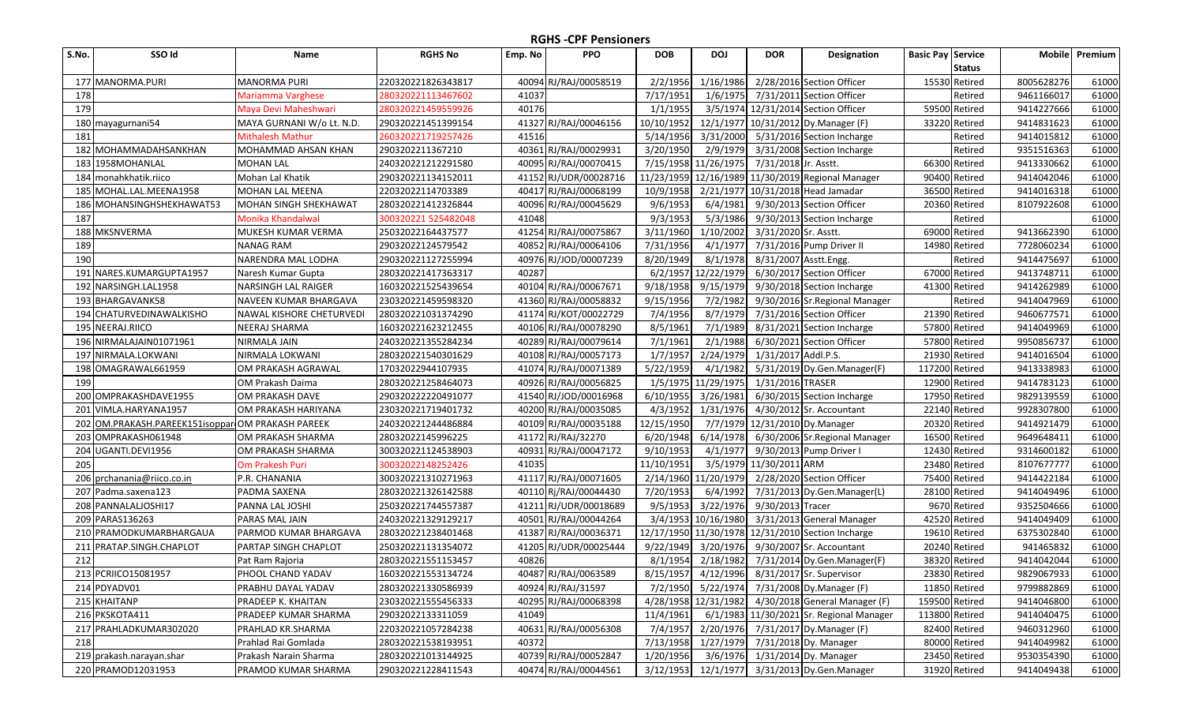| S.No. | SSO Id                                        | Name                         | <b>RGHS No</b>      | Emp. No | <b>PPO</b>            | <b>DOB</b> | <b>DOJ</b>           | <b>DOR</b>              | Designation                                                                                       | <b>Basic Pay Service</b> |               | <b>Mobile</b> | Premium |
|-------|-----------------------------------------------|------------------------------|---------------------|---------|-----------------------|------------|----------------------|-------------------------|---------------------------------------------------------------------------------------------------|--------------------------|---------------|---------------|---------|
|       |                                               |                              |                     |         |                       |            |                      |                         |                                                                                                   |                          | <b>Status</b> |               |         |
| 177   | MANORMA.PURI                                  | <b>MANORMA PURI</b>          | 220320221826343817  |         | 40094 RJ/RAJ/00058519 | 2/2/1956   | 1/16/1986            |                         | 2/28/2016 Section Officer                                                                         |                          | 15530 Retired | 8005628276    | 61000   |
| 178   |                                               | Mariamma Varghese            | 280320221113467602  | 41037   |                       | 7/17/1951  | 1/6/1975             |                         | 7/31/2011 Section Officer                                                                         |                          | Retired       | 9461166017    | 61000   |
| 179   |                                               | Maya Devi Maheshwari         | 280320221459559926  | 40176   |                       | 1/1/1955   |                      |                         | 3/5/1974 12/31/2014 Section Officer                                                               |                          | 59500 Retired | 9414227666    | 61000   |
|       | 180 mayagurnani54                             | MAYA GURNANI W/o Lt. N.D.    | 290320221451399154  |         | 41327 RJ/RAJ/00046156 | 10/10/1952 |                      |                         | 12/1/1977 10/31/2012 Dy.Manager (F)                                                               |                          | 33220 Retired | 9414831623    | 61000   |
| 181   |                                               | <b>Mithalesh Mathur</b>      | 260320221719257426  | 41516   |                       | 5/14/1956  | 3/31/2000            |                         | 5/31/2016 Section Incharge                                                                        |                          | Retired       | 9414015812    | 61000   |
| 182   | MOHAMMADAHSANKHAN                             | MOHAMMAD AHSAN KHAN          | 2903202211367210    |         | 40361 RJ/RAJ/00029931 | 3/20/1950  | 2/9/1979             |                         | 3/31/2008 Section Incharge                                                                        |                          | Retired       | 9351516363    | 61000   |
|       | 183 1958MOHANLAL                              | <b>MOHAN LAL</b>             | 240320221212291580  |         | 40095 RJ/RAJ/00070415 |            | 7/15/1958 11/26/1975 | 7/31/2018 Jr. Asstt.    |                                                                                                   |                          | 66300 Retired | 9413330662    | 61000   |
| 184   | monahkhatik.riico                             | Mohan Lal Khatik             | 290320221134152011  |         | 41152 RJ/UDR/00028716 | 11/23/1959 |                      |                         | 12/16/1989 11/30/2019 Regional Manager                                                            |                          | 90400 Retired | 9414042046    | 61000   |
| 185   | MOHAL.LAL.MEENA1958                           | MOHAN LAL MEENA              | 22032022114703389   |         | 40417 RJ/RAJ/00068199 | 10/9/1958  | 2/21/1977            |                         | 10/31/2018 Head Jamadar                                                                           |                          | 36500 Retired | 9414016318    | 61000   |
| 186   | MOHANSINGHSHEKHAWAT53                         | MOHAN SINGH SHEKHAWAT        | 280320221412326844  |         | 40096 RJ/RAJ/00045629 | 9/6/1953   | 6/4/1981             |                         | 9/30/2013 Section Officer                                                                         |                          | 20360 Retired | 8107922608    | 61000   |
| 187   |                                               | Monika Khandalwal            | 300320221 525482048 | 41048   |                       | 9/3/1953   | 5/3/1986             |                         | 9/30/2013 Section Incharge                                                                        |                          | Retired       |               | 61000   |
|       | 188 MKSNVERMA                                 | MUKESH KUMAR VERMA           | 25032022164437577   |         | 41254 RJ/RAJ/00075867 | 3/11/1960  | 1/10/2002            | 3/31/2020 Sr. Asstt.    |                                                                                                   |                          | 69000 Retired | 9413662390    | 61000   |
| 189   |                                               | <b>NANAG RAM</b>             | 29032022124579542   |         | 40852 RJ/RAJ/00064106 | 7/31/1956  | 4/1/1977             |                         | 7/31/2016 Pump Driver II                                                                          |                          | 14980 Retired | 7728060234    | 61000   |
| 190   |                                               | NARENDRA MAL LODHA           | 290320221127255994  |         | 40976 RJ/JOD/00007239 | 8/20/1949  | 8/1/1978             | 8/31/2007 Asstt.Engg.   |                                                                                                   |                          | Retired       | 9414475697    | 61000   |
| 191   | NARES.KUMARGUPTA1957                          | Naresh Kumar Gupta           | 280320221417363317  | 40287   |                       | 6/2/1957   | 12/22/1979           |                         | 6/30/2017 Section Officer                                                                         |                          | 67000 Retired | 9413748711    | 61000   |
| 192   | NARSINGH.LAL1958                              | <b>NARSINGH LAL RAIGER</b>   | 160320221525439654  |         | 40104 RJ/RAJ/00067671 | 9/18/1958  | 9/15/1979            |                         | 9/30/2018 Section Incharge                                                                        | 41300                    | Retired       | 9414262989    | 61000   |
|       | 193 BHARGAVANK58                              | NAVEEN KUMAR BHARGAVA        | 230320221459598320  |         | 41360 RJ/RAJ/00058832 | 9/15/1956  | 7/2/1982             |                         | 9/30/2016 Sr. Regional Manager                                                                    |                          | Retired       | 9414047969    | 61000   |
| 194   | <b>CHATURVEDINAWALKISHO</b>                   | NAWAL KISHORE CHETURVEDI     | 280320221031374290  |         | 41174 RJ/KOT/00022729 | 7/4/1956   | 8/7/1979             |                         | 7/31/2016 Section Officer                                                                         |                          | 21390 Retired | 9460677571    | 61000   |
|       | 195 NEERAJ.RIICO                              | <b>NEERAJ SHARMA</b>         | 160320221623212455  |         | 40106 RJ/RAJ/00078290 | 8/5/1961   | 7/1/1989             |                         | 8/31/2021 Section Incharge                                                                        |                          | 57800 Retired | 9414049969    | 61000   |
|       | 196 NIRMALAJAIN01071961                       | <b>NIRMALA JAIN</b>          | 240320221355284234  |         | 40289 RJ/RAJ/00079614 | 7/1/1961   | 2/1/1988             |                         | 6/30/2021 Section Officer                                                                         |                          | 57800 Retired | 9950856737    | 61000   |
| 197   | NIRMALA.LOKWANI                               | NIRMALA LOKWANI              | 280320221540301629  |         | 40108 RJ/RAJ/00057173 | 1/7/1957   | 2/24/1979            | 1/31/2017 Addl.P.S.     |                                                                                                   |                          | 21930 Retired | 9414016504    | 61000   |
| 198   | OMAGRAWAL661959                               | OM PRAKASH AGRAWAL           | 17032022944107935   |         | 41074 RJ/RAJ/00071389 | 5/22/1959  | 4/1/1982             |                         | 5/31/2019 Dy.Gen.Manager(F)                                                                       | 117200 Retired           |               | 9413338983    | 61000   |
| 199   |                                               | OM Prakash Daima             | 280320221258464073  |         | 40926 RJ/RAJ/00056825 | 1/5/1975   | 11/29/1975           | 1/31/2016 TRASER        |                                                                                                   |                          | 12900 Retired | 9414783123    | 61000   |
| 200   | OMPRAKASHDAVE1955                             | OM PRAKASH DAVE              | 290320222220491077  |         | 41540 RJ/JOD/00016968 | 6/10/1955  | 3/26/1981            |                         | 6/30/2015 Section Incharge                                                                        |                          | 17950 Retired | 9829139559    | 61000   |
| 201   | VIMLA.HARYANA1957                             | OM PRAKASH HARIYANA          | 230320221719401732  |         | 40200 RJ/RAJ/00035085 | 4/3/1952   | 1/31/1976            |                         | 4/30/2012 Sr. Accountant                                                                          |                          | 22140 Retired | 9928307800    | 61000   |
| 202   | OM.PRAKASH.PAREEK151isoppar OM PRAKASH PAREEK |                              | 240320221244486884  |         | 40109 RJ/RAJ/00035188 | 12/15/1950 | 7/7/1979             | 12/31/2010 Dy. Manager  |                                                                                                   |                          | 20320 Retired | 9414921479    | 61000   |
| 203   | OMPRAKASH061948                               | OM PRAKASH SHARMA            | 28032022145996225   |         | 41172 RJ/RAJ/32270    | 6/20/1948  | 6/14/1978            |                         | 6/30/2006 Sr. Regional Manager                                                                    |                          | 16500 Retired | 9649648411    | 61000   |
| 204   | UGANTI.DEVI1956                               | OM PRAKASH SHARMA            | 300320221124538903  |         | 40931 RJ/RAJ/00047172 | 9/10/1953  | 4/1/1977             |                         | 9/30/2013 Pump Driver I                                                                           |                          | 12430 Retired | 9314600182    | 61000   |
| 205   |                                               | Om Prakesh Puri              | 30032022148252426   | 41035   |                       | 11/10/1951 |                      | 3/5/1979 11/30/2011 ARM |                                                                                                   |                          | 23480 Retired | 8107677777    | 61000   |
| 206   | prchanania@riico.co.in                        | P.R. CHANANIA                | 300320221310271963  |         | 41117 RJ/RAJ/00071605 |            | 2/14/1960 11/20/1979 |                         | 2/28/2020 Section Officer                                                                         |                          | 75400 Retired | 9414422184    | 61000   |
| 207   | Padma.saxena123                               | PADMA SAXENA                 | 280320221326142588  |         | 40110 Rj/RAJ/00044430 | 7/20/1953  | 6/4/1992             |                         | 7/31/2013 Dy.Gen.Manager(L)                                                                       |                          | 28100 Retired | 9414049496    | 61000   |
| 208   | PANNALALJOSHI17                               | PANNA LAL JOSHI              | 250320221744557387  |         | 41211 RJ/UDR/00018689 | 9/5/1953   | 3/22/1976            | 9/30/2013 Tracer        |                                                                                                   |                          | 9670 Retired  | 9352504666    | 61000   |
|       | 209 PARAS136263                               | PARAS MAL JAIN               | 240320221329129217  |         | 40501 RJ/RAJ/00044264 | 3/4/1953   | 10/16/1980           |                         | 3/31/2013 General Manager                                                                         |                          | 42520 Retired | 9414049409    | 61000   |
|       | 210 PRAMODKUMARBHARGAUA                       | <b>PARMOD KUMAR BHARGAVA</b> | 280320221238401468  |         | 41387 RJ/RAJ/00036371 |            |                      |                         | 12/17/1950 11/30/1978 12/31/2010 Section Incharge                                                 |                          | 19610 Retired | 6375302840    | 61000   |
| 211   | PRATAP.SINGH.CHAPLOT                          | <b>PARTAP SINGH CHAPLOT</b>  | 250320221131354072  |         | 41205 RJ/UDR/00025444 | 9/22/1949  | 3/20/1976            |                         | 9/30/2007 Sr. Accountant                                                                          |                          | 20240 Retired | 941465832     | 61000   |
| 212   |                                               | Pat Ram Rajoria              | 280320221551153457  | 40826   |                       | 8/1/1954   | 2/18/1982            |                         | 7/31/2014 Dy.Gen.Manager(F)                                                                       |                          | 38320 Retired | 9414042044    | 61000   |
|       | 213 PCRIICO15081957                           | PHOOL CHAND YADAV            | 160320221553134724  |         | 40487 RJ/RAJ/0063589  |            |                      |                         | 8/15/1957 4/12/1996 8/31/2017 Sr. Supervisor                                                      |                          | 23830 Retired | 9829067933    | 61000   |
|       | 214 PDYADV01                                  | PRABHU DAYAL YADAV           | 280320221330586939  |         | 40924 RJ/RAJ/31597    |            |                      |                         |                                                                                                   |                          | 11850 Retired | 9799882869    | 61000   |
|       | 215 KHAITANP                                  | PRADEEP K. KHAITAN           | 230320221555456333  |         | 40295 RJ/RAJ/00068398 |            |                      |                         | 7/2/1950 5/22/1974 7/31/2008 Dy.Manager (F)<br>4/28/1958 12/31/1982 4/30/2018 General Manager (F) | 159500 Retired           |               |               |         |
|       | 216 PKSKOTA411                                |                              |                     | 41049   |                       |            |                      |                         |                                                                                                   |                          |               | 9414046800    | 61000   |
|       |                                               | <b>PRADEEP KUMAR SHARMA</b>  | 29032022133311059   |         |                       | 11/4/1961  |                      |                         | 6/1/1983 11/30/2021 Sr. Regional Manager                                                          | 113800 Retired           |               | 9414040475    | 61000   |
|       | 217 PRAHLADKUMAR302020                        | PRAHLAD KR.SHARMA            | 220320221057284238  |         | 40631 RJ/RAJ/00056308 | 7/4/1957   |                      |                         | 2/20/1976 7/31/2017 Dy.Manager (F)                                                                |                          | 82400 Retired | 9460312960    | 61000   |
| 218   |                                               | Prahlad Rai Gomlada          | 280320221538193951  | 40372   |                       | 7/13/1958  |                      |                         | 1/27/1979 7/31/2018 Dy. Manager                                                                   |                          | 80000 Retired | 9414049982    | 61000   |
|       | 219 prakash.narayan.shar                      | Prakash Narain Sharma        | 280320221013144925  |         | 40739 RJ/RAJ/00052847 | 1/20/1956  |                      |                         | 3/6/1976 1/31/2014 Dy. Manager                                                                    |                          | 23450 Retired | 9530354390    | 61000   |
|       | 220 PRAMOD12031953                            | PRAMOD KUMAR SHARMA          | 290320221228411543  |         | 40474 RJ/RAJ/00044561 | 3/12/1953  |                      |                         | 12/1/1977 3/31/2013 Dy.Gen.Manager                                                                |                          | 31920 Retired | 9414049438    | 61000   |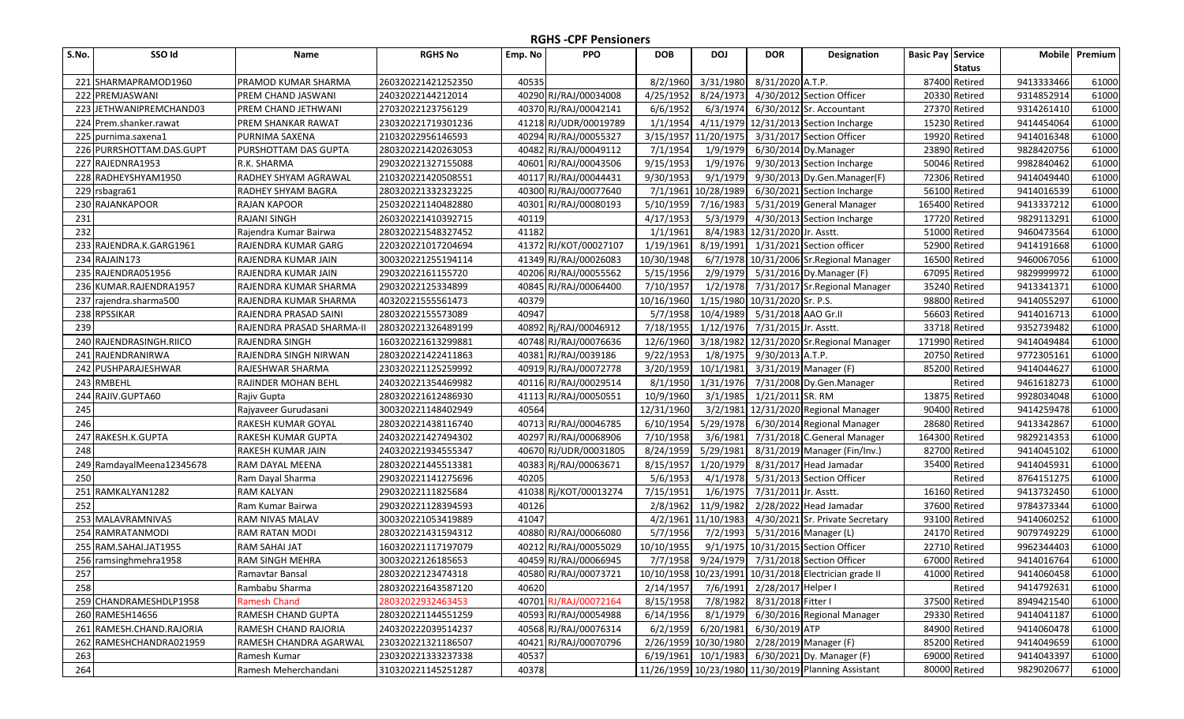| S.No. | SSO Id                   | Name                        | <b>RGHS No</b>     | Emp. No | <b>PPO</b>            | <b>DOB</b> | <b>DOJ</b>           | <b>DOR</b>                  | Designation                                           | <b>Basic Pay Service</b> |               | <b>Mobile</b> | Premium |
|-------|--------------------------|-----------------------------|--------------------|---------|-----------------------|------------|----------------------|-----------------------------|-------------------------------------------------------|--------------------------|---------------|---------------|---------|
|       |                          |                             |                    |         |                       |            |                      |                             |                                                       |                          | <b>Status</b> |               |         |
|       | 221 SHARMAPRAMOD1960     | <b>PRAMOD KUMAR SHARMA</b>  | 260320221421252350 | 40535   |                       | 8/2/1960   | 3/31/1980            | 8/31/2020 A.T.P.            |                                                       |                          | 87400 Retired | 9413333466    | 61000   |
|       | 222 PREMJASWANI          | <b>PREM CHAND JASWANI</b>   | 24032022144212014  |         | 40290 RJ/RAJ/00034008 | 4/25/1952  | 8/24/1973            |                             | 4/30/2012 Section Officer                             |                          | 20330 Retired | 9314852914    | 61000   |
|       | 223 JETHWANIPREMCHAND03  | <b>PREM CHAND JETHWANI</b>  | 27032022123756129  |         | 40370 RJ/RAJ/00042141 | 6/6/1952   | 6/3/1974             |                             | 6/30/2012 Sr. Accountant                              |                          | 27370 Retired | 9314261410    | 61000   |
|       | 224 Prem.shanker.rawat   | <b>PREM SHANKAR RAWAT</b>   | 230320221719301236 |         | 41218 RJ/UDR/00019789 | 1/1/1954   | 4/11/1979            |                             | 12/31/2013 Section Incharge                           |                          | 15230 Retired | 9414454064    | 61000   |
|       | 225 purnima.saxena1      | PURNIMA SAXENA              | 21032022956146593  |         | 40294 RJ/RAJ/00055327 | 3/15/1957  | 11/20/1975           |                             | 3/31/2017 Section Officer                             |                          | 19920 Retired | 9414016348    | 61000   |
| 226   | PURRSHOTTAM.DAS.GUPT     | PURSHOTTAM DAS GUPTA        | 280320221420263053 |         | 40482 RJ/RAJ/00049112 | 7/1/1954   | 1/9/1979             |                             | 6/30/2014 Dy.Manager                                  |                          | 23890 Retired | 9828420756    | 61000   |
| 227   | RAJEDNRA1953             | R.K. SHARMA                 | 290320221327155088 | 40601   | RJ/RAJ/00043506       | 9/15/1953  | 1/9/1976             |                             | 9/30/2013 Section Incharge                            |                          | 50046 Retired | 9982840462    | 61000   |
| 228   | RADHEYSHYAM1950          | <b>RADHEY SHYAM AGRAWAL</b> | 210320221420508551 |         | 40117 RJ/RAJ/00044431 | 9/30/1953  | 9/1/1979             |                             | 9/30/2013 Dy.Gen.Manager(F)                           |                          | 72306 Retired | 9414049440    | 61000   |
| 229   | rsbagra61                | <b>RADHEY SHYAM BAGRA</b>   | 280320221332323225 |         | 40300 RJ/RAJ/00077640 | 7/1/1961   | 10/28/1989           |                             | 6/30/2021 Section Incharge                            |                          | 56100 Retired | 9414016539    | 61000   |
|       | 230 RAJANKAPOOR          | <b>RAJAN KAPOOR</b>         | 250320221140482880 | 40301   | RJ/RAJ/00080193       | 5/10/1959  | 7/16/1983            |                             | 5/31/2019 General Manager                             | 165400 Retired           |               | 9413337212    | 61000   |
| 231   |                          | <b>RAJANI SINGH</b>         | 260320221410392715 | 40119   |                       | 4/17/1953  | 5/3/1979             |                             | 4/30/2013 Section Incharge                            |                          | 17720 Retired | 9829113291    | 61000   |
| 232   |                          | Rajendra Kumar Bairwa       | 280320221548327452 | 41182   |                       | 1/1/1961   | 8/4/1983             | 12/31/2020 Jr. Asstt.       |                                                       |                          | 51000 Retired | 9460473564    | 61000   |
| 233   | RAJENDRA.K.GARG1961      | RAJENDRA KUMAR GARG         | 220320221017204694 |         | 41372 RJ/KOT/00027107 | 1/19/1961  | 8/19/1991            |                             | 1/31/2021 Section officer                             | 52900                    | Retired       | 9414191668    | 61000   |
| 234   | RAJAIN173                | RAJENDRA KUMAR JAIN         | 300320221255194114 |         | 41349 RJ/RAJ/00026083 | 10/30/1948 | 6/7/1978             |                             | 10/31/2006 Sr. Regional Manager                       |                          | 16500 Retired | 9460067056    | 61000   |
| 235   | RAJENDRA051956           | RAJENDRA KUMAR JAIN         | 29032022161155720  |         | 40206 RJ/RAJ/00055562 | 5/15/1956  | 2/9/1979             |                             | 5/31/2016 Dy.Manager (F)                              |                          | 67095 Retired | 9829999972    | 61000   |
| 236   | KUMAR.RAJENDRA1957       | RAJENDRA KUMAR SHARMA       | 29032022125334899  | 40845   | RJ/RAJ/00064400       | 7/10/1957  | 1/2/1978             |                             | 7/31/2017 Sr. Regional Manager                        |                          | 35240 Retired | 9413341371    | 61000   |
| 237   | rajendra.sharma500       | RAJENDRA KUMAR SHARMA       | 40320221555561473  | 40379   |                       | 10/16/1960 | 1/15/1980            | 10/31/2020 Sr. P.S.         |                                                       |                          | 98800 Retired | 9414055297    | 61000   |
|       | 238 RPSSIKAR             | RAJENDRA PRASAD SAINI       | 28032022155573089  | 40947   |                       | 5/7/1958   | 10/4/1989            | 5/31/2018 AAO Gr.II         |                                                       |                          | 56603 Retired | 9414016713    | 61000   |
| 239   |                          | RAJENDRA PRASAD SHARMA-II   | 280320221326489199 |         | 40892 Rj/RAJ/00046912 | 7/18/1955  | 1/12/1976            | 7/31/2015 Jr. Asstt.        |                                                       |                          | 33718 Retired | 9352739482    | 61000   |
|       | 240 RAJENDRASINGH.RIICO  | <b>RAJENDRA SINGH</b>       | 160320221613299881 |         | 40748 RJ/RAJ/00076636 | 12/6/1960  | 3/18/1982            |                             | 12/31/2020 Sr. Regional Manager                       | 171990 Retired           |               | 9414049484    | 61000   |
| 241   | RAJENDRANIRWA            | RAJENDRA SINGH NIRWAN       | 280320221422411863 |         | 40381 RJ/RAJ/0039186  | 9/22/1953  | 1/8/1975             | 9/30/2013 A.T.P.            |                                                       |                          | 20750 Retired | 9772305161    | 61000   |
| 242   | PUSHPARAJESHWAR          | <b>RAJESHWAR SHARMA</b>     | 230320221125259992 |         | 40919 RJ/RAJ/00072778 | 3/20/1959  | 10/1/1981            |                             | 3/31/2019 Manager (F)                                 |                          | 85200 Retired | 9414044627    | 61000   |
|       | 243 RMBEHL               | RAJINDER MOHAN BEHL         | 240320221354469982 |         | 40116 RJ/RAJ/00029514 | 8/1/1950   | 1/31/1976            |                             | 7/31/2008 Dy.Gen.Manager                              |                          | Retired       | 9461618273    | 61000   |
| 244   | RAJIV.GUPTA60            | Rajiv Gupta                 | 280320221612486930 |         | 41113 RJ/RAJ/00050551 | 10/9/1960  | 3/1/1985             | 1/21/2011 SR. RM            |                                                       |                          | 13875 Retired | 9928034048    | 61000   |
| 245   |                          | Rajyaveer Gurudasani        | 300320221148402949 | 40564   |                       | 12/31/1960 | 3/2/1981             |                             | 12/31/2020 Regional Manager                           |                          | 90400 Retired | 9414259478    | 61000   |
| 246   |                          | RAKESH KUMAR GOYAL          | 280320221438116740 |         | 40713 RJ/RAJ/00046785 | 6/10/1954  | 5/29/1978            |                             | 6/30/2014 Regional Manager                            |                          | 28680 Retired | 9413342867    | 61000   |
| 247   | RAKESH.K.GUPTA           | <b>RAKESH KUMAR GUPTA</b>   | 240320221427494302 | 40297   | RJ/RAJ/00068906       | 7/10/1958  | 3/6/1981             |                             | 7/31/2018 C.General Manager                           | 164300 Retired           |               | 9829214353    | 61000   |
| 248   |                          | RAKESH KUMAR JAIN           | 240320221934555347 |         | 40670 RJ/UDR/00031805 | 8/24/1959  | 5/29/1981            |                             | 8/31/2019 Manager (Fin/Inv.)                          |                          | 82700 Retired | 9414045102    | 61000   |
| 249   | RamdayalMeena12345678    | RAM DAYAL MEENA             | 280320221445513381 | 40383   | Rj/RAJ/00063671       | 8/15/1957  | 1/20/1979            |                             | 8/31/2017 Head Jamadar                                |                          | 35400 Retired | 9414045931    | 61000   |
| 250   |                          | Ram Dayal Sharma            | 290320221141275696 | 40205   |                       | 5/6/1953   | 4/1/1978             |                             | 5/31/2013 Section Officer                             |                          | Retired       | 8764151275    | 61000   |
| 251   | RAMKALYAN1282            | RAM KALYAN                  | 29032022111825684  |         | 41038 Rj/KOT/00013274 | 7/15/1951  | 1/6/1975             | 7/31/2011 Jr. Asstt.        |                                                       |                          | 16160 Retired | 9413732450    | 61000   |
| 252   |                          | Ram Kumar Bairwa            | 290320221128394593 | 40126   |                       | 2/8/1962   | 11/9/1982            |                             | $2/28/2022$ Head Jamadar                              |                          | 37600 Retired | 9784373344    | 61000   |
| 253   | MALAVRAMNIVAS            | <b>RAM NIVAS MALAV</b>      | 300320221053419889 | 41047   |                       | 4/2/1961   | 11/10/1983           |                             | 4/30/2021 Sr. Private Secretary                       |                          | 93100 Retired | 9414060252    | 61000   |
| 254   | RAMRATANMODI             | <b>RAM RATAN MODI</b>       | 280320221431594312 |         | 40880 RJ/RAJ/00066080 | 5/7/1956   | 7/2/1993             |                             | 5/31/2016 Manager (L)                                 |                          | 24170 Retired | 9079749229    | 61000   |
| 255   | RAM.SAHAI.JAT1955        | <b>RAM SAHAI JAT</b>        | 160320221117197079 |         | 40212 RJ/RAJ/00055029 | 10/10/1955 | 9/1/1975             |                             | 10/31/2015 Section Officer                            |                          | 22710 Retired | 9962344403    | 61000   |
|       | 256 ramsinghmehra1958    | <b>RAM SINGH MEHRA</b>      | 30032022126185653  |         | 40459 RJ/RAJ/00066945 | 7/7/1958   | 9/24/1979            |                             | 7/31/2018 Section Officer                             |                          | 67000 Retired | 9414016764    | 61000   |
| 257   |                          | Ramavtar Bansal             | 28032022123474318  |         | 40580 RJ/RAJ/00073721 |            |                      |                             | 10/10/1958 10/23/1991 10/31/2018 Electrician grade II |                          | 41000 Retired | 9414060458    | 61000   |
| 258   |                          | Rambabu Sharma              | 280320221643587120 | 40620   |                       | 2/14/1957  |                      | 7/6/1991 2/28/2017 Helper I |                                                       |                          | Retired       | 9414792631    | 61000   |
|       | 259 CHANDRAMESHDLP1958   | <b>Ramesh Chand</b>         | 28032022932463453  |         | 40701 RJ/RAJ/00072164 | 8/15/1958  | 7/8/1982             | 8/31/2018 Fitter I          |                                                       |                          | 37500 Retired | 8949421540    | 61000   |
|       | 260 RAMESH14656          | RAMESH CHAND GUPTA          | 280320221144551259 |         | 40593 RJ/RAJ/00054988 | 6/14/1956  | 8/1/1979             |                             | 6/30/2016 Regional Manager                            |                          | 29330 Retired | 9414041187    | 61000   |
|       | 261 RAMESH.CHAND.RAJORIA | RAMESH CHAND RAJORIA        | 240320222039514237 |         | 40568 RJ/RAJ/00076314 | 6/2/1959   | 6/20/1981            | 6/30/2019 ATP               |                                                       |                          | 84900 Retired | 9414060478    | 61000   |
|       | 262 RAMESHCHANDRA021959  | RAMESH CHANDRA AGARWAL      | 230320221321186507 |         | 40421 RJ/RAJ/00070796 |            | 2/26/1959 10/30/1980 |                             | 2/28/2019 Manager (F)                                 |                          | 85200 Retired | 9414049659    | 61000   |
| 263   |                          | Ramesh Kumar                | 230320221333237338 | 40537   |                       | 6/19/1961  | 10/1/1983            |                             | 6/30/2021 Dy. Manager (F)                             |                          | 69000 Retired | 9414043397    | 61000   |
| 264   |                          | Ramesh Meherchandani        | 310320221145251287 | 40378   |                       |            |                      |                             | 11/26/1959 10/23/1980 11/30/2019 Planning Assistant   |                          | 80000 Retired | 9829020677    | 61000   |
|       |                          |                             |                    |         |                       |            |                      |                             |                                                       |                          |               |               |         |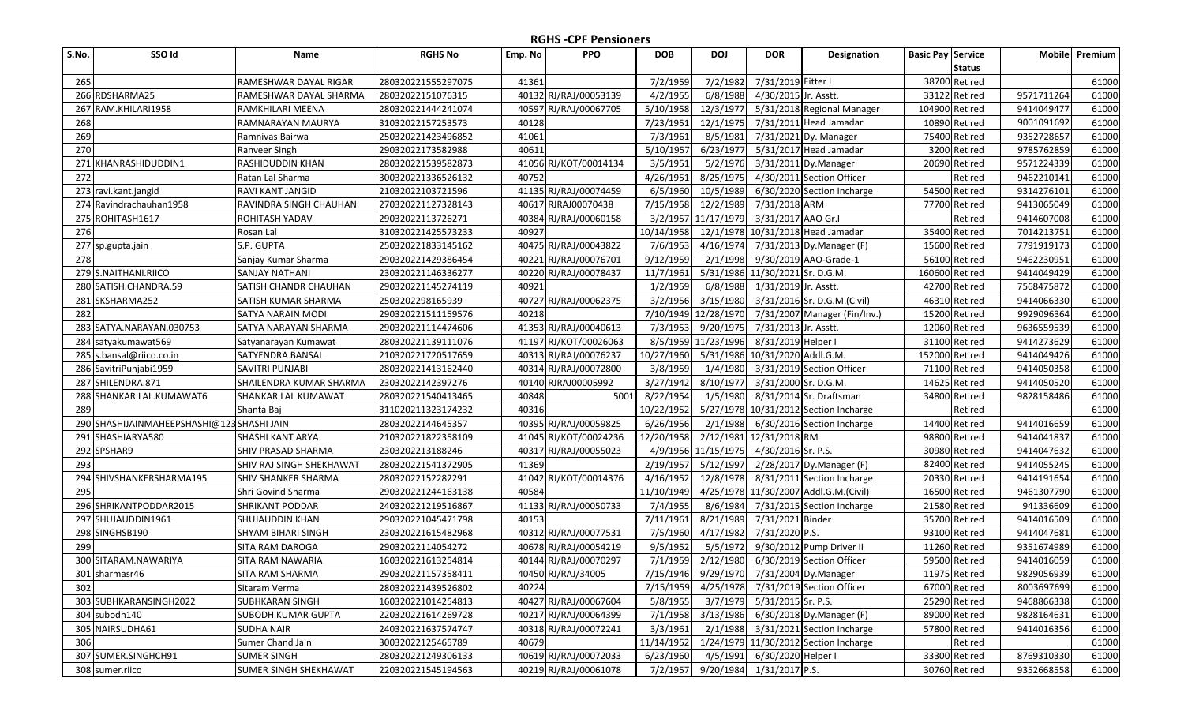| S.No. | SSO Id                                        | Name                         | <b>RGHS No</b>     | Emp. No | <b>PPO</b>            | <b>DOB</b> | <b>DOJ</b>                        | <b>DOR</b>                     | Designation                              | <b>Basic Pay Service</b> |               | <b>Mobile</b> | Premium |
|-------|-----------------------------------------------|------------------------------|--------------------|---------|-----------------------|------------|-----------------------------------|--------------------------------|------------------------------------------|--------------------------|---------------|---------------|---------|
|       |                                               |                              |                    |         |                       |            |                                   |                                |                                          |                          | <b>Status</b> |               |         |
| 265   |                                               | RAMESHWAR DAYAL RIGAR        | 280320221555297075 | 41361   |                       | 7/2/1959   | 7/2/1982                          | 7/31/2019 Fitter I             |                                          |                          | 38700 Retired |               | 61000   |
|       | 266 RDSHARMA25                                | RAMESHWAR DAYAL SHARMA       | 28032022151076315  |         | 40132 RJ/RAJ/00053139 | 4/2/1955   | 6/8/1988                          | 4/30/2015 Jr. Asstt.           |                                          |                          | 33122 Retired | 9571711264    | 61000   |
|       | 267 RAM.KHILARI1958                           | RAMKHILARI MEENA             | 280320221444241074 |         | 40597 RJ/RAJ/00067705 | 5/10/1958  | 12/3/1977                         |                                | 5/31/2018 Regional Manager               | 104900 Retired           |               | 9414049477    | 61000   |
| 268   |                                               | RAMNARAYAN MAURYA            | 31032022157253573  | 40128   |                       | 7/23/1951  | 12/1/1975                         |                                | 7/31/2011 Head Jamadar                   |                          | 10890 Retired | 9001091692    | 61000   |
| 269   |                                               | Ramnivas Bairwa              | 250320221423496852 | 41061   |                       | 7/3/1961   | 8/5/1981                          |                                | 7/31/2021 Dy. Manager                    |                          | 75400 Retired | 9352728657    | 61000   |
| 270   |                                               | Ranveer Singh                | 29032022173582988  | 40611   |                       | 5/10/1957  | 6/23/1977                         |                                | 5/31/2017 Head Jamadar                   |                          | 3200 Retired  | 9785762859    | 61000   |
| 271   | KHANRASHIDUDDIN1                              | RASHIDUDDIN KHAN             | 280320221539582873 |         | 41056 RJ/KOT/00014134 | 3/5/1951   | 5/2/1976                          |                                | 3/31/2011 Dy. Manager                    |                          | 20690 Retired | 9571224339    | 61000   |
| 272   |                                               | Ratan Lal Sharma             | 300320221336526132 | 40752   |                       | 4/26/1951  | 8/25/1975                         |                                | 4/30/2011 Section Officer                |                          | Retired       | 9462210141    | 61000   |
|       | 273 ravi.kant.jangid                          | RAVI KANT JANGID             | 21032022103721596  | 41135   | RJ/RAJ/00074459       | 6/5/1960   | 10/5/1989                         |                                | 6/30/2020 Section Incharge               |                          | 54500 Retired | 9314276101    | 61000   |
|       | 274 Ravindrachauhan1958                       | RAVINDRA SINGH CHAUHAN       | 270320221127328143 | 40617   | RJRAJ00070438         | 7/15/1958  | 12/2/1989                         | 7/31/2018 ARM                  |                                          |                          | 77700 Retired | 9413065049    | 61000   |
|       | 275 ROHITASH1617                              | ROHITASH YADAV               | 29032022113726271  | 40384   | RJ/RAJ/00060158       | 3/2/1957   | 11/17/1979                        | 3/31/2017 AAO Gr.I             |                                          |                          | Retired       | 9414607008    | 61000   |
| 276   |                                               | Rosan Lal                    | 310320221425573233 | 40927   |                       | 10/14/1958 | 12/1/1978                         |                                | 10/31/2018 Head Jamadar                  |                          | 35400 Retired | 7014213751    | 61000   |
|       | 277 sp.gupta.jain                             | S.P. GUPTA                   | 250320221833145162 |         | 40475 RJ/RAJ/00043822 | 7/6/1953   | 4/16/1974                         |                                | 7/31/2013 Dy.Manager (F)                 | 15600                    | Retired       | 7791919173    | 61000   |
| 278   |                                               | Sanjay Kumar Sharma          | 290320221429386454 | 40221   | RJ/RAJ/00076701       | 9/12/1959  | 2/1/1998                          |                                | 9/30/2019 AAO-Grade-1                    |                          | 56100 Retired | 9462230951    | 61000   |
| 279   | S.NAITHANI.RIICO                              | <b>SANJAY NATHANI</b>        | 230320221146336277 |         | 40220 RJ/RAJ/00078437 | 11/7/1961  | 5/31/1986                         | 11/30/2021 Sr. D.G.M.          |                                          | 160600 Retired           |               | 9414049429    | 61000   |
| 280   | SATISH.CHANDRA.59                             | SATISH CHANDR CHAUHAN        | 290320221145274119 | 40921   |                       | 1/2/1959   | 6/8/1988                          | 1/31/2019 Jr. Asstt.           |                                          |                          | 42700 Retired | 7568475872    | 61000   |
| 281   | SKSHARMA252                                   | SATISH KUMAR SHARMA          | 2503202298165939   |         | 40727 RJ/RAJ/00062375 | 3/2/1956   | 3/15/1980                         |                                | 3/31/2016 Sr. D.G.M.(Civil)              |                          | 46310 Retired | 9414066330    | 61000   |
| 282   |                                               | <b>SATYA NARAIN MODI</b>     | 290320221511159576 | 40218   |                       | 7/10/1949  | 12/28/1970                        |                                | 7/31/2007 Manager (Fin/Inv.)             |                          | 15200 Retired | 9929096364    | 61000   |
|       | 283 SATYA.NARAYAN.030753                      | SATYA NARAYAN SHARMA         | 290320221114474606 |         | 41353 RJ/RAJ/00040613 | 7/3/1953   | 9/20/1975                         | 7/31/2013 Jr. Asstt.           |                                          |                          | 12060 Retired | 9636559539    | 61000   |
|       | 284 satyakumawat569                           | Satyanarayan Kumawat         | 280320221139111076 |         | 41197 RJ/KOT/00026063 |            | 8/5/1959 11/23/1996               | 8/31/2019 Helper I             |                                          |                          | 31100 Retired | 9414273629    | 61000   |
|       | 285 s.bansal@riico.co.in                      | <b>SATYENDRA BANSAL</b>      | 210320221720517659 |         | 40313 RJ/RAJ/00076237 | 10/27/1960 |                                   | 5/31/1986 10/31/2020 Addl.G.M. |                                          | 152000 Retired           |               | 9414049426    | 61000   |
|       | 286 SavitriPunjabi1959                        | <b>SAVITRI PUNJABI</b>       | 280320221413162440 |         | 40314 RJ/RAJ/00072800 | 3/8/1959   | 1/4/1980                          |                                | 3/31/2019 Section Officer                |                          | 71100 Retired | 9414050358    | 61000   |
| 287   | SHILENDRA.871                                 | SHAILENDRA KUMAR SHARMA      | 23032022142397276  |         | 40140 RJRAJ00005992   | 3/27/1942  | 8/10/1977                         | 3/31/2000 Sr. D.G.M.           |                                          |                          | 14625 Retired | 9414050520    | 61000   |
| 288   | SHANKAR.LAL.KUMAWAT6                          | SHANKAR LAL KUMAWAT          | 280320221540413465 | 40848   | 5001                  | 8/22/1954  | 1/5/1980                          |                                | 8/31/2014 Sr. Draftsman                  |                          | 34800 Retired | 9828158486    | 61000   |
| 289   |                                               | Shanta Baj                   | 311020211323174232 | 40316   |                       | 10/22/1952 | 5/27/1978                         |                                | 10/31/2012 Section Incharge              |                          | Retired       |               | 61000   |
| 290   | <u>SHASHIJAINMAHEEPSHASHI@123</u> SHASHI JAIN |                              | 28032022144645357  | 40395   | RJ/RAJ/00059825       | 6/26/1956  | 2/1/1988                          |                                | 6/30/2016 Section Incharge               |                          | 14400 Retired | 9414016659    | 61000   |
| 291   | SHASHIARYA580                                 | SHASHI KANT ARYA             | 210320221822358109 | 41045   | RJ/KOT/00024236       | 12/20/1958 | 2/12/1981                         | 12/31/2018 RM                  |                                          |                          | 98800 Retired | 9414041837    | 61000   |
|       | 292 SPSHAR9                                   | SHIV PRASAD SHARMA           | 2303202213188246   | 40317   | RJ/RAJ/00055023       | 4/9/1956   | 11/15/1975                        | 4/30/2016 Sr. P.S.             |                                          |                          | 30980 Retired | 9414047632    | 61000   |
| 293   |                                               | SHIV RAJ SINGH SHEKHAWAT     | 280320221541372905 | 41369   |                       | 2/19/1957  | 5/12/1997                         |                                | 2/28/2017 Dy.Manager (F)                 |                          | 82400 Retired | 9414055245    | 61000   |
| 294   | SHIVSHANKERSHARMA195                          | SHIV SHANKER SHARMA          | 28032022152282291  |         | 41042 RJ/KOT/00014376 | 4/16/1952  | 12/8/1978                         |                                | 8/31/2011 Section Incharge               |                          | 20330 Retired | 9414191654    | 61000   |
| 295   |                                               | Shri Govind Sharma           | 290320221244163138 | 40584   |                       | 11/10/1949 | 4/25/1978                         |                                | 11/30/2007 Addl.G.M.(Civil)              |                          | 16500 Retired | 9461307790    | 61000   |
| 296   | SHRIKANTPODDAR2015                            | <b>SHRIKANT PODDAR</b>       | 240320221219516867 |         | 41133 RJ/RAJ/00050733 | 7/4/1955   | 8/6/1984                          |                                | 7/31/2015 Section Incharge               |                          | 21580 Retired | 941336609     | 61000   |
|       | 297 SHUJAUDDIN1961                            | <b>SHUJAUDDIN KHAN</b>       | 290320221045471798 | 40153   |                       | 7/11/1961  | 8/21/1989                         | 7/31/2021 Binder               |                                          |                          | 35700 Retired | 9414016509    | 61000   |
|       | 298 SINGHSB190                                | SHYAM BIHARI SINGH           | 230320221615482968 |         | 40312 RJ/RAJ/00077531 | 7/5/1960   | 4/17/1982                         | 7/31/2020 P.S.                 |                                          |                          | 93100 Retired | 9414047681    | 61000   |
| 299   |                                               | <b>SITA RAM DAROGA</b>       | 29032022114054272  |         | 40678 RJ/RAJ/00054219 | 9/5/1952   | 5/5/1972                          |                                | 9/30/2012 Pump Driver II                 |                          | 11260 Retired | 9351674989    | 61000   |
|       | 300 SITARAM.NAWARIYA                          | <b>SITA RAM NAWARIA</b>      | 160320221613254814 |         | 40144 RJ/RAJ/00070297 | 7/1/1959   | 2/12/1980                         |                                | 6/30/2019 Section Officer                |                          | 59500 Retired | 9414016059    | 61000   |
|       | 301 sharmasr46                                | SITA RAM SHARMA              | 290320221157358411 |         | 40450 RJ/RAJ/34005    |            |                                   |                                | 7/15/1946 9/29/1970 7/31/2004 Dy.Manager |                          | 11975 Retired | 9829056939    | 61000   |
| 302   |                                               | Sitaram Verma                | 280320221439526802 | 40224   |                       | 7/15/1959  |                                   |                                | 4/25/1978 7/31/2019 Section Officer      |                          | 67000 Retired | 8003697699    | 61000   |
|       | 303 SUBHKARANSINGH2022                        | <b>SUBHKARAN SINGH</b>       | 160320221014254813 |         | 40427 RJ/RAJ/00067604 | 5/8/1955   | 3/7/1979                          | 5/31/2015 Sr. P.S.             |                                          |                          | 25290 Retired | 9468866338    | 61000   |
|       | 304 subodh140                                 | <b>SUBODH KUMAR GUPTA</b>    | 220320221614269728 |         | 40217 RJ/RAJ/00064399 | 7/1/1958   | 3/13/1986                         |                                | 6/30/2018 Dy.Manager (F)                 |                          | 89000 Retired | 9828164631    | 61000   |
|       | 305 NAIRSUDHA61                               | <b>SUDHA NAIR</b>            | 240320221637574747 |         | 40318 RJ/RAJ/00072241 | 3/3/1961   | 2/1/1988                          |                                | 3/31/2021 Section Incharge               |                          | 57800 Retired | 9414016356    | 61000   |
| 306   |                                               | Sumer Chand Jain             | 30032022125465789  | 40679   |                       | 11/14/1952 |                                   |                                | 1/24/1979 11/30/2012 Section Incharge    |                          | Retired       |               | 61000   |
|       | 307 SUMER.SINGHCH91                           | <b>SUMER SINGH</b>           | 280320221249306133 |         | 40619 RJ/RAJ/00072033 | 6/23/1960  | 4/5/1991                          | 6/30/2020 Helper I             |                                          |                          | 33300 Retired | 8769310330    | 61000   |
|       | 308 sumer.riico                               | <b>SUMER SINGH SHEKHAWAT</b> | 220320221545194563 |         | 40219 RJ/RAJ/00061078 |            | 7/2/1957 9/20/1984 1/31/2017 P.S. |                                |                                          |                          | 30760 Retired | 9352668558    | 61000   |